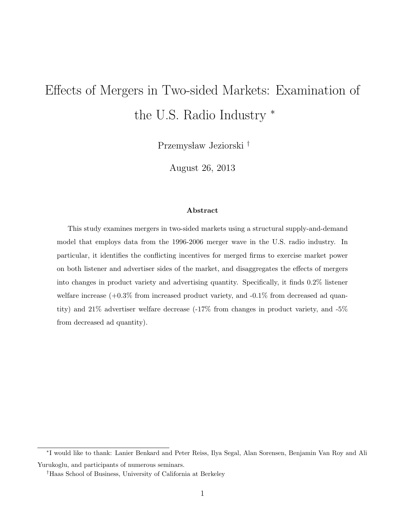# Effects of Mergers in Two-sided Markets: Examination of the U.S. Radio Industry <sup>∗</sup>

Przemysław Jeziorski<sup>†</sup>

August 26, 2013

#### Abstract

This study examines mergers in two-sided markets using a structural supply-and-demand model that employs data from the 1996-2006 merger wave in the U.S. radio industry. In particular, it identifies the conflicting incentives for merged firms to exercise market power on both listener and advertiser sides of the market, and disaggregates the effects of mergers into changes in product variety and advertising quantity. Specifically, it finds 0.2% listener welfare increase  $(+0.3\%$  from increased product variety, and  $-0.1\%$  from decreased ad quantity) and 21% advertiser welfare decrease (-17% from changes in product variety, and -5% from decreased ad quantity).

<sup>∗</sup> I would like to thank: Lanier Benkard and Peter Reiss, Ilya Segal, Alan Sorensen, Benjamin Van Roy and Ali Yurukoglu, and participants of numerous seminars.

<sup>†</sup>Haas School of Business, University of California at Berkeley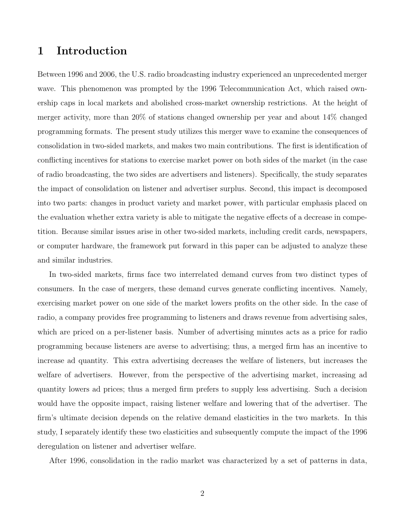## 1 Introduction

Between 1996 and 2006, the U.S. radio broadcasting industry experienced an unprecedented merger wave. This phenomenon was prompted by the 1996 Telecommunication Act, which raised ownership caps in local markets and abolished cross-market ownership restrictions. At the height of merger activity, more than 20% of stations changed ownership per year and about 14% changed programming formats. The present study utilizes this merger wave to examine the consequences of consolidation in two-sided markets, and makes two main contributions. The first is identification of conflicting incentives for stations to exercise market power on both sides of the market (in the case of radio broadcasting, the two sides are advertisers and listeners). Specifically, the study separates the impact of consolidation on listener and advertiser surplus. Second, this impact is decomposed into two parts: changes in product variety and market power, with particular emphasis placed on the evaluation whether extra variety is able to mitigate the negative effects of a decrease in competition. Because similar issues arise in other two-sided markets, including credit cards, newspapers, or computer hardware, the framework put forward in this paper can be adjusted to analyze these and similar industries.

In two-sided markets, firms face two interrelated demand curves from two distinct types of consumers. In the case of mergers, these demand curves generate conflicting incentives. Namely, exercising market power on one side of the market lowers profits on the other side. In the case of radio, a company provides free programming to listeners and draws revenue from advertising sales, which are priced on a per-listener basis. Number of advertising minutes acts as a price for radio programming because listeners are averse to advertising; thus, a merged firm has an incentive to increase ad quantity. This extra advertising decreases the welfare of listeners, but increases the welfare of advertisers. However, from the perspective of the advertising market, increasing ad quantity lowers ad prices; thus a merged firm prefers to supply less advertising. Such a decision would have the opposite impact, raising listener welfare and lowering that of the advertiser. The firm's ultimate decision depends on the relative demand elasticities in the two markets. In this study, I separately identify these two elasticities and subsequently compute the impact of the 1996 deregulation on listener and advertiser welfare.

After 1996, consolidation in the radio market was characterized by a set of patterns in data,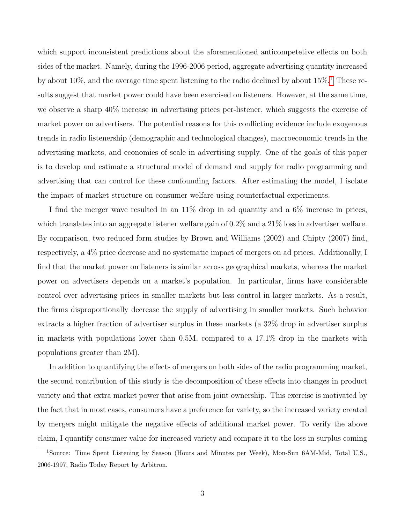which support inconsistent predictions about the aforementioned anticompetetive effects on both sides of the market. Namely, during the 1996-2006 period, aggregate advertising quantity increased by about [1](#page-2-0)0%, and the average time spent listening to the radio declined by about  $15\%$ .<sup>1</sup> These results suggest that market power could have been exercised on listeners. However, at the same time, we observe a sharp 40% increase in advertising prices per-listener, which suggests the exercise of market power on advertisers. The potential reasons for this conflicting evidence include exogenous trends in radio listenership (demographic and technological changes), macroeconomic trends in the advertising markets, and economies of scale in advertising supply. One of the goals of this paper is to develop and estimate a structural model of demand and supply for radio programming and advertising that can control for these confounding factors. After estimating the model, I isolate the impact of market structure on consumer welfare using counterfactual experiments.

I find the merger wave resulted in an 11% drop in ad quantity and a 6% increase in prices, which translates into an aggregate listener welfare gain of 0.2% and a 21% loss in advertiser welfare. By comparison, two reduced form studies by Brown and Williams (2002) and Chipty (2007) find, respectively, a 4% price decrease and no systematic impact of mergers on ad prices. Additionally, I find that the market power on listeners is similar across geographical markets, whereas the market power on advertisers depends on a market's population. In particular, firms have considerable control over advertising prices in smaller markets but less control in larger markets. As a result, the firms disproportionally decrease the supply of advertising in smaller markets. Such behavior extracts a higher fraction of advertiser surplus in these markets (a 32% drop in advertiser surplus in markets with populations lower than 0.5M, compared to a 17.1% drop in the markets with populations greater than 2M).

In addition to quantifying the effects of mergers on both sides of the radio programming market, the second contribution of this study is the decomposition of these effects into changes in product variety and that extra market power that arise from joint ownership. This exercise is motivated by the fact that in most cases, consumers have a preference for variety, so the increased variety created by mergers might mitigate the negative effects of additional market power. To verify the above claim, I quantify consumer value for increased variety and compare it to the loss in surplus coming

<span id="page-2-0"></span><sup>1</sup>Source: Time Spent Listening by Season (Hours and Minutes per Week), Mon-Sun 6AM-Mid, Total U.S., 2006-1997, Radio Today Report by Arbitron.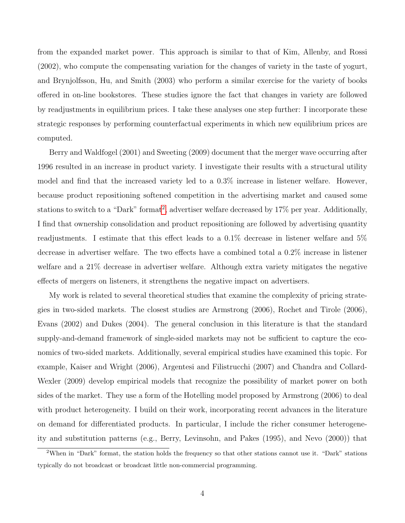from the expanded market power. This approach is similar to that of Kim, Allenby, and Rossi (2002), who compute the compensating variation for the changes of variety in the taste of yogurt, and Brynjolfsson, Hu, and Smith (2003) who perform a similar exercise for the variety of books offered in on-line bookstores. These studies ignore the fact that changes in variety are followed by readjustments in equilibrium prices. I take these analyses one step further: I incorporate these strategic responses by performing counterfactual experiments in which new equilibrium prices are computed.

Berry and Waldfogel (2001) and Sweeting (2009) document that the merger wave occurring after 1996 resulted in an increase in product variety. I investigate their results with a structural utility model and find that the increased variety led to a 0.3% increase in listener welfare. However, because product repositioning softened competition in the advertising market and caused some stations to switch to a "Dark" format<sup>[2](#page-3-0)</sup>, advertiser welfare decreased by  $17\%$  per year. Additionally, I find that ownership consolidation and product repositioning are followed by advertising quantity readjustments. I estimate that this effect leads to a 0.1% decrease in listener welfare and 5% decrease in advertiser welfare. The two effects have a combined total a 0.2% increase in listener welfare and a 21% decrease in advertiser welfare. Although extra variety mitigates the negative effects of mergers on listeners, it strengthens the negative impact on advertisers.

My work is related to several theoretical studies that examine the complexity of pricing strategies in two-sided markets. The closest studies are Armstrong (2006), Rochet and Tirole (2006), Evans (2002) and Dukes (2004). The general conclusion in this literature is that the standard supply-and-demand framework of single-sided markets may not be sufficient to capture the economics of two-sided markets. Additionally, several empirical studies have examined this topic. For example, Kaiser and Wright (2006), Argentesi and Filistrucchi (2007) and Chandra and Collard-Wexler (2009) develop empirical models that recognize the possibility of market power on both sides of the market. They use a form of the Hotelling model proposed by Armstrong (2006) to deal with product heterogeneity. I build on their work, incorporating recent advances in the literature on demand for differentiated products. In particular, I include the richer consumer heterogeneity and substitution patterns (e.g., Berry, Levinsohn, and Pakes (1995), and Nevo (2000)) that

<span id="page-3-0"></span><sup>&</sup>lt;sup>2</sup>When in "Dark" format, the station holds the frequency so that other stations cannot use it. "Dark" stations typically do not broadcast or broadcast little non-commercial programming.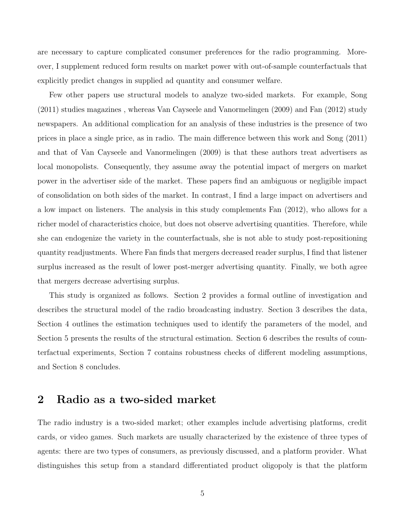are necessary to capture complicated consumer preferences for the radio programming. Moreover, I supplement reduced form results on market power with out-of-sample counterfactuals that explicitly predict changes in supplied ad quantity and consumer welfare.

Few other papers use structural models to analyze two-sided markets. For example, Song (2011) studies magazines , whereas Van Cayseele and Vanormelingen (2009) and Fan (2012) study newspapers. An additional complication for an analysis of these industries is the presence of two prices in place a single price, as in radio. The main difference between this work and Song (2011) and that of Van Cayseele and Vanormelingen (2009) is that these authors treat advertisers as local monopolists. Consequently, they assume away the potential impact of mergers on market power in the advertiser side of the market. These papers find an ambiguous or negligible impact of consolidation on both sides of the market. In contrast, I find a large impact on advertisers and a low impact on listeners. The analysis in this study complements Fan (2012), who allows for a richer model of characteristics choice, but does not observe advertising quantities. Therefore, while she can endogenize the variety in the counterfactuals, she is not able to study post-repositioning quantity readjustments. Where Fan finds that mergers decreased reader surplus, I find that listener surplus increased as the result of lower post-merger advertising quantity. Finally, we both agree that mergers decrease advertising surplus.

This study is organized as follows. Section 2 provides a formal outline of investigation and describes the structural model of the radio broadcasting industry. Section 3 describes the data, Section 4 outlines the estimation techniques used to identify the parameters of the model, and Section 5 presents the results of the structural estimation. Section 6 describes the results of counterfactual experiments, Section 7 contains robustness checks of different modeling assumptions, and Section 8 concludes.

## 2 Radio as a two-sided market

The radio industry is a two-sided market; other examples include advertising platforms, credit cards, or video games. Such markets are usually characterized by the existence of three types of agents: there are two types of consumers, as previously discussed, and a platform provider. What distinguishes this setup from a standard differentiated product oligopoly is that the platform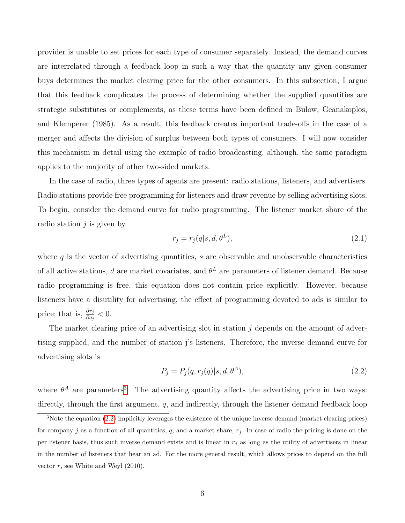provider is unable to set prices for each type of consumer separately. Instead, the demand curves are interrelated through a feedback loop in such a way that the quantity any given consumer buys determines the market clearing price for the other consumers. In this subsection, I argue that this feedback complicates the process of determining whether the supplied quantities are strategic substitutes or complements, as these terms have been defined in Bulow, Geanakoplos, and Klemperer (1985). As a result, this feedback creates important trade-offs in the case of a merger and affects the division of surplus between both types of consumers. I will now consider this mechanism in detail using the example of radio broadcasting, although, the same paradigm applies to the majority of other two-sided markets.

In the case of radio, three types of agents are present: radio stations, listeners, and advertisers. Radio stations provide free programming for listeners and draw revenue by selling advertising slots. To begin, consider the demand curve for radio programming. The listener market share of the radio station  $j$  is given by

<span id="page-5-2"></span>
$$
r_j = r_j(q|s, d, \theta^L),\tag{2.1}
$$

where  $q$  is the vector of advertising quantities,  $s$  are observable and unobservable characteristics of all active stations, d are market covariates, and  $\theta^L$  are parameters of listener demand. Because radio programming is free, this equation does not contain price explicitly. However, because listeners have a disutility for advertising, the effect of programming devoted to ads is similar to price; that is,  $\frac{\partial r_j}{\partial q_j} < 0$ .

The market clearing price of an advertising slot in station  $j$  depends on the amount of advertising supplied, and the number of station j's listeners. Therefore, the inverse demand curve for advertising slots is

<span id="page-5-1"></span>
$$
P_j = P_j(q, r_j(q)|s, d, \theta^A),
$$
\n(2.2)

where  $\theta^A$  are parameters<sup>[3](#page-5-0)</sup>. The advertising quantity affects the advertising price in two ways: directly, through the first argument, q, and indirectly, through the listener demand feedback loop

<span id="page-5-0"></span><sup>3</sup>Note the equation [\(2.2\)](#page-5-1) implicitly leverages the existence of the unique inverse demand (market clearing prices) for company j as a function of all quantities, q, and a market share,  $r_j$ . In case of radio the pricing is done on the per listener basis, thus such inverse demand exists and is linear in  $r_j$  as long as the utility of advertisers in linear in the number of listeners that hear an ad. For the more general result, which allows prices to depend on the full vector  $r$ , see White and Weyl  $(2010)$ .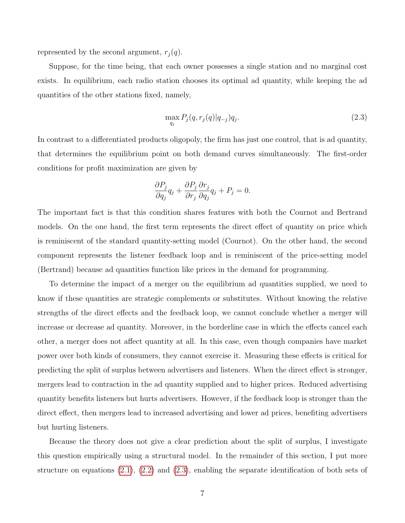represented by the second argument,  $r_j(q)$ .

Suppose, for the time being, that each owner possesses a single station and no marginal cost exists. In equilibrium, each radio station chooses its optimal ad quantity, while keeping the ad quantities of the other stations fixed, namely,

<span id="page-6-0"></span>
$$
\max_{q_j} P_j(q, r_j(q)|q_{-j})q_j. \tag{2.3}
$$

In contrast to a differentiated products oligopoly, the firm has just one control, that is ad quantity, that determines the equilibrium point on both demand curves simultaneously. The first-order conditions for profit maximization are given by

$$
\frac{\partial P_j}{\partial q_j}q_j + \frac{\partial P_j}{\partial r_j}\frac{\partial r_j}{\partial q_j}q_j + P_j = 0.
$$

The important fact is that this condition shares features with both the Cournot and Bertrand models. On the one hand, the first term represents the direct effect of quantity on price which is reminiscent of the standard quantity-setting model (Cournot). On the other hand, the second component represents the listener feedback loop and is reminiscent of the price-setting model (Bertrand) because ad quantities function like prices in the demand for programming.

To determine the impact of a merger on the equilibrium ad quantities supplied, we need to know if these quantities are strategic complements or substitutes. Without knowing the relative strengths of the direct effects and the feedback loop, we cannot conclude whether a merger will increase or decrease ad quantity. Moreover, in the borderline case in which the effects cancel each other, a merger does not affect quantity at all. In this case, even though companies have market power over both kinds of consumers, they cannot exercise it. Measuring these effects is critical for predicting the split of surplus between advertisers and listeners. When the direct effect is stronger, mergers lead to contraction in the ad quantity supplied and to higher prices. Reduced advertising quantity benefits listeners but hurts advertisers. However, if the feedback loop is stronger than the direct effect, then mergers lead to increased advertising and lower ad prices, benefiting advertisers but hurting listeners.

Because the theory does not give a clear prediction about the split of surplus, I investigate this question empirically using a structural model. In the remainder of this section, I put more structure on equations  $(2.1), (2.2)$  $(2.1), (2.2)$  $(2.1), (2.2)$  and  $(2.3),$  $(2.3),$  enabling the separate identification of both sets of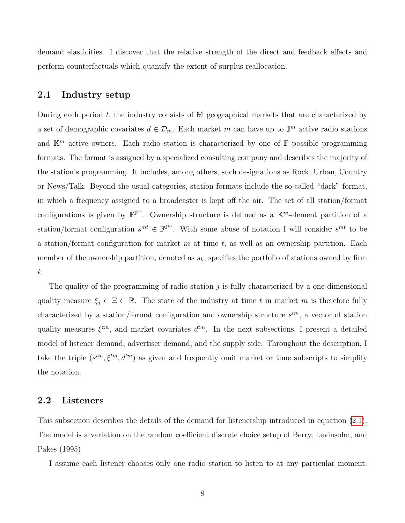demand elasticities. I discover that the relative strength of the direct and feedback effects and perform counterfactuals which quantify the extent of surplus reallocation.

#### 2.1 Industry setup

During each period  $t$ , the industry consists of M geographical markets that are characterized by a set of demographic covariates  $d \in \mathcal{D}_m$ . Each market m can have up to  $\mathbb{J}^m$  active radio stations and  $\mathbb{K}^m$  active owners. Each radio station is characterized by one of  $\mathbb F$  possible programming formats. The format is assigned by a specialized consulting company and describes the majority of the station's programming. It includes, among others, such designations as Rock, Urban, Country or News/Talk. Beyond the usual categories, station formats include the so-called "dark" format, in which a frequency assigned to a broadcaster is kept off the air. The set of all station/format configurations is given by  $\mathbb{F}^{\mathbb{J}^m}$ . Ownership structure is defined as a  $\mathbb{K}^m$ -element partition of a station/format configuration  $s^{mt} \in \mathbb{F}^{\mathbb{J}^m}$ . With some abuse of notation I will consider  $s^{mt}$  to be a station/format configuration for market m at time t, as well as an ownership partition. Each member of the ownership partition, denoted as  $s_k$ , specifies the portfolio of stations owned by firm k.

The quality of the programming of radio station  $j$  is fully characterized by a one-dimensional quality measure  $\xi_j \in \Xi \subset \mathbb{R}$ . The state of the industry at time t in market m is therefore fully characterized by a station/format configuration and ownership structure  $s^{tm}$ , a vector of station quality measures  $\xi^{tm}$ , and market covariates  $d^{tm}$ . In the next subsections, I present a detailed model of listener demand, advertiser demand, and the supply side. Throughout the description, I take the triple  $(s^{tm}, \xi^{tm}, d^{tm})$  as given and frequently omit market or time subscripts to simplify the notation.

#### 2.2 Listeners

This subsection describes the details of the demand for listenership introduced in equation [\(2.1\)](#page-5-2). The model is a variation on the random coefficient discrete choice setup of Berry, Levinsohn, and Pakes (1995).

I assume each listener chooses only one radio station to listen to at any particular moment.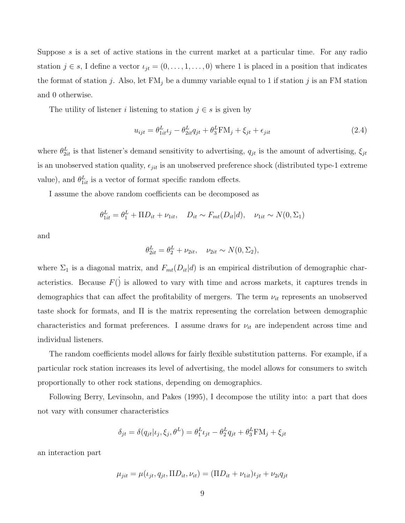Suppose s is a set of active stations in the current market at a particular time. For any radio station  $j \in s$ , I define a vector  $\iota_{jt} = (0, \ldots, 1, \ldots, 0)$  where 1 is placed in a position that indicates the format of station j. Also, let  $FM_j$  be a dummy variable equal to 1 if station j is an FM station and 0 otherwise.

The utility of listener i listening to station  $j \in s$  is given by

<span id="page-8-0"></span>
$$
u_{ijt} = \theta_{1it}^L t_j - \theta_{2it}^L q_{jt} + \theta_3^L \mathbf{F} M_j + \xi_{jt} + \epsilon_{jit}
$$
\n
$$
(2.4)
$$

where  $\theta_{2it}^L$  is that listener's demand sensitivity to advertising,  $q_{jt}$  is the amount of advertising,  $\xi_{jt}$ is an unobserved station quality,  $\epsilon_{jit}$  is an unobserved preference shock (distributed type-1 extreme value), and  $\theta_{1it}^L$  is a vector of format specific random effects.

I assume the above random coefficients can be decomposed as

$$
\theta_{1it}^L = \theta_1^L + \Pi D_{it} + \nu_{1it}, \quad D_{it} \sim F_{mt}(D_{it}|d), \quad \nu_{1it} \sim N(0, \Sigma_1)
$$

and

$$
\theta_{2it}^L = \theta_2^L + \nu_{2it}, \quad \nu_{2it} \sim N(0, \Sigma_2),
$$

where  $\Sigma_1$  is a diagonal matrix, and  $F_{mt}(D_{it}|d)$  is an empirical distribution of demographic characteristics. Because  $F(\dot)$  is allowed to vary with time and across markets, it captures trends in demographics that can affect the profitability of mergers. The term  $\nu_{it}$  represents an unobserved taste shock for formats, and Π is the matrix representing the correlation between demographic characteristics and format preferences. I assume draws for  $\nu_{it}$  are independent across time and individual listeners.

The random coefficients model allows for fairly flexible substitution patterns. For example, if a particular rock station increases its level of advertising, the model allows for consumers to switch proportionally to other rock stations, depending on demographics.

Following Berry, Levinsohn, and Pakes (1995), I decompose the utility into: a part that does not vary with consumer characteristics

$$
\delta_{jt} = \delta(q_{jt}|t_j, \xi_j, \theta^L) = \theta_1^L t_{jt} - \theta_2^L q_{jt} + \theta_3^L \text{FM}_j + \xi_{jt}
$$

an interaction part

$$
\mu_{jit} = \mu(\iota_{jt}, q_{jt}, \Pi D_{it}, \nu_{it}) = (\Pi D_{it} + \nu_{1it}) \iota_{jt} + \nu_{2i} q_{jt}
$$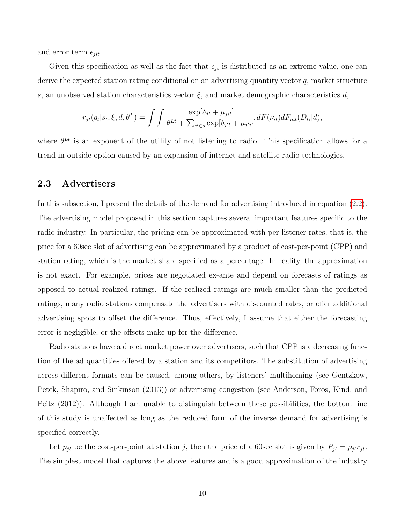and error term  $\epsilon_{jit}$ .

Given this specification as well as the fact that  $\epsilon_{ji}$  is distributed as an extreme value, one can derive the expected station rating conditional on an advertising quantity vector  $q$ , market structure s, an unobserved station characteristics vector  $\xi$ , and market demographic characteristics d,

$$
r_{jt}(q_t|s_t, \xi, d, \theta^L) = \int \int \frac{\exp[\delta_{jt} + \mu_{jit}]}{\theta^{Lt} + \sum_{j' \in s} \exp[\delta_{j't} + \mu_{j'it}]} dF(\nu_{it}) dF_{mt}(D_{ti}|d),
$$

where  $\theta^{Lt}$  is an exponent of the utility of not listening to radio. This specification allows for a trend in outside option caused by an expansion of internet and satellite radio technologies.

#### <span id="page-9-0"></span>2.3 Advertisers

In this subsection, I present the details of the demand for advertising introduced in equation [\(2.2\)](#page-5-1). The advertising model proposed in this section captures several important features specific to the radio industry. In particular, the pricing can be approximated with per-listener rates; that is, the price for a 60sec slot of advertising can be approximated by a product of cost-per-point (CPP) and station rating, which is the market share specified as a percentage. In reality, the approximation is not exact. For example, prices are negotiated ex-ante and depend on forecasts of ratings as opposed to actual realized ratings. If the realized ratings are much smaller than the predicted ratings, many radio stations compensate the advertisers with discounted rates, or offer additional advertising spots to offset the difference. Thus, effectively, I assume that either the forecasting error is negligible, or the offsets make up for the difference.

Radio stations have a direct market power over advertisers, such that CPP is a decreasing function of the ad quantities offered by a station and its competitors. The substitution of advertising across different formats can be caused, among others, by listeners' multihoming (see Gentzkow, Petek, Shapiro, and Sinkinson (2013)) or advertising congestion (see Anderson, Foros, Kind, and Peitz (2012)). Although I am unable to distinguish between these possibilities, the bottom line of this study is unaffected as long as the reduced form of the inverse demand for advertising is specified correctly.

Let  $p_{jt}$  be the cost-per-point at station j, then the price of a 60sec slot is given by  $P_{jt} = p_{jt}r_{jt}$ . The simplest model that captures the above features and is a good approximation of the industry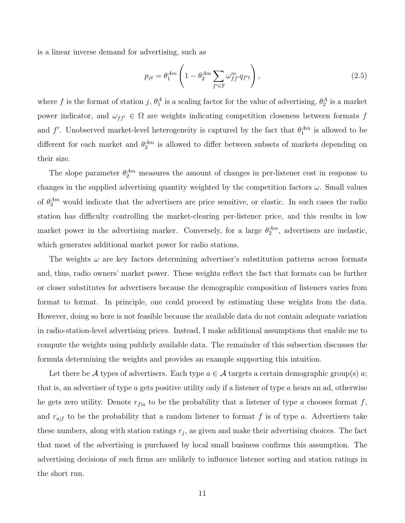is a linear inverse demand for advertising, such as

<span id="page-10-0"></span>
$$
p_{jt} = \theta_1^{Am} \left( 1 - \theta_2^{Am} \sum_{f' \in \mathbb{F}} \omega_{ff'}^m q_{f't} \right), \qquad (2.5)
$$

where f is the format of station j,  $\theta_1^A$  is a scaling factor for the value of advertising,  $\theta_2^A$  is a market power indicator, and  $\omega_{ff'} \in \Omega$  are weights indicating competition closeness between formats f and f'. Unobserved market-level heterogeneity is captured by the fact that  $\theta_1^{Am}$  is allowed to be different for each market and  $\theta_2^{Am}$  is allowed to differ between subsets of markets depending on their size.

The slope parameter  $\theta_2^{Am}$  measures the amount of changes in per-listener cost in response to changes in the supplied advertising quantity weighted by the competition factors  $\omega$ . Small values of  $\theta_2^{Am}$  would indicate that the advertisers are price sensitive, or elastic. In such cases the radio station has difficulty controlling the market-clearing per-listener price, and this results in low market power in the advertising marker. Conversely, for a large  $\theta_2^{Am}$ , advertisers are inelastic, which generates additional market power for radio stations.

The weights  $\omega$  are key factors determining advertiser's substitution patterns across formats and, thus, radio owners' market power. These weights reflect the fact that formats can be further or closer substitutes for advertisers because the demographic composition of listeners varies from format to format. In principle, one could proceed by estimating these weights from the data. However, doing so here is not feasible because the available data do not contain adequate variation in radio-station-level advertising prices. Instead, I make additional assumptions that enable me to compute the weights using publicly available data. The remainder of this subsection discusses the formula determining the weights and provides an example supporting this intuition.

Let there be A types of advertisers. Each type  $a \in \mathcal{A}$  targets a certain demographic group(s) a; that is, an advertiser of type  $a$  gets positive utility only if a listener of type  $a$  hears an ad, otherwise he gets zero utility. Denote  $r_{f|a}$  to be the probability that a listener of type a chooses format f, and  $r_{a|f}$  to be the probability that a random listener to format f is of type a. Advertisers take these numbers, along with station ratings  $r_j$ , as given and make their advertising choices. The fact that most of the advertising is purchased by local small business confirms this assumption. The advertising decisions of such firms are unlikely to influence listener sorting and station ratings in the short run.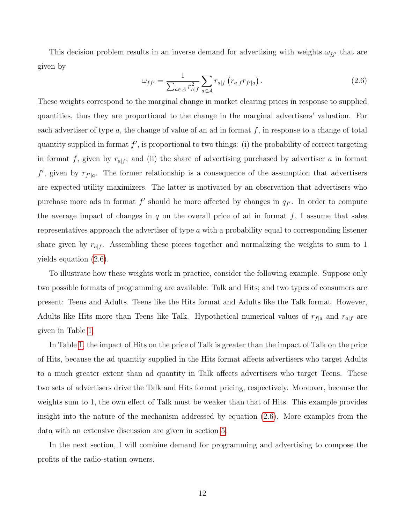<span id="page-11-0"></span>This decision problem results in an inverse demand for advertising with weights  $\omega_{jj'}$  that are given by

$$
\omega_{ff'} = \frac{1}{\sum_{a \in \mathcal{A}} r_{a|f}^2} \sum_{a \in \mathcal{A}} r_{a|f} \left( r_{a|f} r_{f'|a} \right). \tag{2.6}
$$

These weights correspond to the marginal change in market clearing prices in response to supplied quantities, thus they are proportional to the change in the marginal advertisers' valuation. For each advertiser of type  $a$ , the change of value of an ad in format  $f$ , in response to a change of total quantity supplied in format  $f'$ , is proportional to two things: (i) the probability of correct targeting in format f, given by  $r_{a|f}$ ; and (ii) the share of advertising purchased by advertiser a in format  $f'$ , given by  $r_{f'|a}$ . The former relationship is a consequence of the assumption that advertisers are expected utility maximizers. The latter is motivated by an observation that advertisers who purchase more ads in format  $f'$  should be more affected by changes in  $q_{f'}$ . In order to compute the average impact of changes in q on the overall price of ad in format  $f$ , I assume that sales representatives approach the advertiser of type a with a probability equal to corresponding listener share given by  $r_{a|f}$ . Assembling these pieces together and normalizing the weights to sum to 1 yields equation [\(2.6\)](#page-11-0).

To illustrate how these weights work in practice, consider the following example. Suppose only two possible formats of programming are available: Talk and Hits; and two types of consumers are present: Teens and Adults. Teens like the Hits format and Adults like the Talk format. However, Adults like Hits more than Teens like Talk. Hypothetical numerical values of  $r_{f|a}$  and  $r_{a|f}$  are given in Table [1.](#page-42-0)

In Table [1,](#page-42-0) the impact of Hits on the price of Talk is greater than the impact of Talk on the price of Hits, because the ad quantity supplied in the Hits format affects advertisers who target Adults to a much greater extent than ad quantity in Talk affects advertisers who target Teens. These two sets of advertisers drive the Talk and Hits format pricing, respectively. Moreover, because the weights sum to 1, the own effect of Talk must be weaker than that of Hits. This example provides insight into the nature of the mechanism addressed by equation [\(2.6\)](#page-11-0). More examples from the data with an extensive discussion are given in section [5.](#page-24-0)

In the next section, I will combine demand for programming and advertising to compose the profits of the radio-station owners.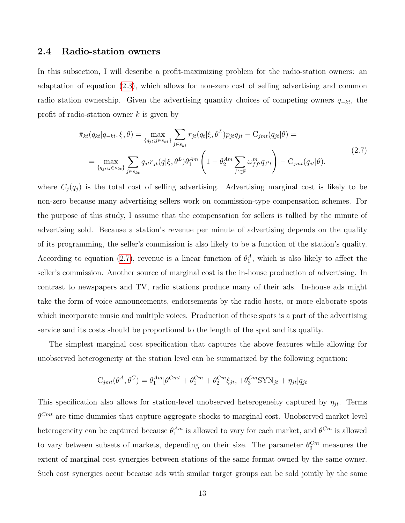#### 2.4 Radio-station owners

In this subsection, I will describe a profit-maximizing problem for the radio-station owners: an adaptation of equation [\(2.3\)](#page-6-0), which allows for non-zero cost of selling advertising and common radio station ownership. Given the advertising quantity choices of competing owners  $q_{-kt}$ , the profit of radio-station owner  $k$  is given by

<span id="page-12-0"></span>
$$
\bar{\pi}_{kt}(q_{kt}|q_{-kt},\xi,\theta) = \max_{\{q_{jt};j\in s_{kt}\}} \sum_{j\in s_{kt}} r_{jt}(q_t|\xi,\theta^L) p_{jt} q_{jt} - C_{jmt}(q_{jt}|\theta) =
$$
\n
$$
= \max_{\{q_{jt};j\in s_{kt}\}} \sum_{j\in s_{kt}} q_{jt} r_{jt}(q|\xi,\theta^L) \theta_1^{Am} \left(1 - \theta_2^{Am} \sum_{f' \in \mathbb{F}} \omega_{ff'}^m q_{f't}\right) - C_{jmt}(q_{jt}|\theta).
$$
\n(2.7)

where  $C_j(q_j)$  is the total cost of selling advertising. Advertising marginal cost is likely to be non-zero because many advertising sellers work on commission-type compensation schemes. For the purpose of this study, I assume that the compensation for sellers is tallied by the minute of advertising sold. Because a station's revenue per minute of advertising depends on the quality of its programming, the seller's commission is also likely to be a function of the station's quality. According to equation [\(2.7\)](#page-12-0), revenue is a linear function of  $\theta_1^A$ , which is also likely to affect the seller's commission. Another source of marginal cost is the in-house production of advertising. In contrast to newspapers and TV, radio stations produce many of their ads. In-house ads might take the form of voice announcements, endorsements by the radio hosts, or more elaborate spots which incorporate music and multiple voices. Production of these spots is a part of the advertising service and its costs should be proportional to the length of the spot and its quality.

The simplest marginal cost specification that captures the above features while allowing for unobserved heterogeneity at the station level can be summarized by the following equation:

$$
C_{jmt}(\theta^A, \theta^C) = \theta_1^{Am}[\theta^{Cmt} + \theta_1^{Cm} + \theta_2^{Cm}\xi_{jt}, +\theta_3^{Cm}SYN_{jt} + \eta_{jt}]q_{jt}
$$

This specification also allows for station-level unobserved heterogeneity captured by  $\eta_{jt}$ . Terms  $\theta^{Cmt}$  are time dummies that capture aggregate shocks to marginal cost. Unobserved market level heterogeneity can be captured because  $\theta_1^{Am}$  is allowed to vary for each market, and  $\theta^{Cm}$  is allowed to vary between subsets of markets, depending on their size. The parameter  $\theta_3^{Cm}$  measures the extent of marginal cost synergies between stations of the same format owned by the same owner. Such cost synergies occur because ads with similar target groups can be sold jointly by the same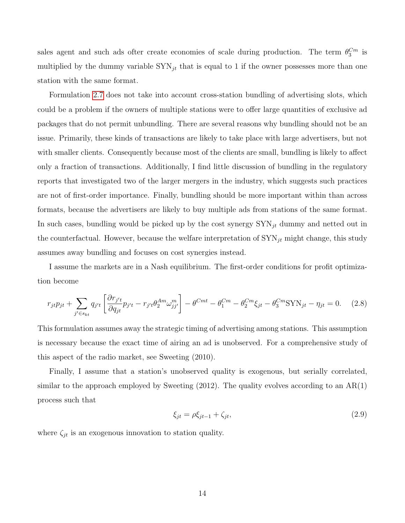sales agent and such ads ofter create economies of scale during production. The term  $\theta_3^{Cm}$  is multiplied by the dummy variable  $SYN_{jt}$  that is equal to 1 if the owner possesses more than one station with the same format.

Formulation 2.[7](#page-12-0) does not take into account cross-station bundling of advertising slots, which could be a problem if the owners of multiple stations were to offer large quantities of exclusive ad packages that do not permit unbundling. There are several reasons why bundling should not be an issue. Primarily, these kinds of transactions are likely to take place with large advertisers, but not with smaller clients. Consequently because most of the clients are small, bundling is likely to affect only a fraction of transactions. Additionally, I find little discussion of bundling in the regulatory reports that investigated two of the larger mergers in the industry, which suggests such practices are not of first-order importance. Finally, bundling should be more important within than across formats, because the advertisers are likely to buy multiple ads from stations of the same format. In such cases, bundling would be picked up by the cost synergy  $SYN_{jt}$  dummy and netted out in the counterfactual. However, because the welfare interpretation of  $SYN_{jt}$  might change, this study assumes away bundling and focuses on cost synergies instead.

I assume the markets are in a Nash equilibrium. The first-order conditions for profit optimization become

$$
r_{jt}p_{jt} + \sum_{j' \in s_{kt}} q_{j't} \left[ \frac{\partial r_{j't}}{\partial q_{jt}} p_{j't} - r_{j't} \theta_2^{Am} \omega_{jj'}^m \right] - \theta^{Cmt} - \theta_1^{Cm} - \theta_2^{Cm} \xi_{jt} - \theta_3^{Cm} \text{SYN}_{jt} - \eta_{jt} = 0. \tag{2.8}
$$

This formulation assumes away the strategic timing of advertising among stations. This assumption is necessary because the exact time of airing an ad is unobserved. For a comprehensive study of this aspect of the radio market, see Sweeting (2010).

<span id="page-13-0"></span>Finally, I assume that a station's unobserved quality is exogenous, but serially correlated, similar to the approach employed by Sweeting  $(2012)$ . The quality evolves according to an  $AR(1)$ process such that

$$
\xi_{jt} = \rho \xi_{jt-1} + \zeta_{jt},\tag{2.9}
$$

where  $\zeta_{jt}$  is an exogenous innovation to station quality.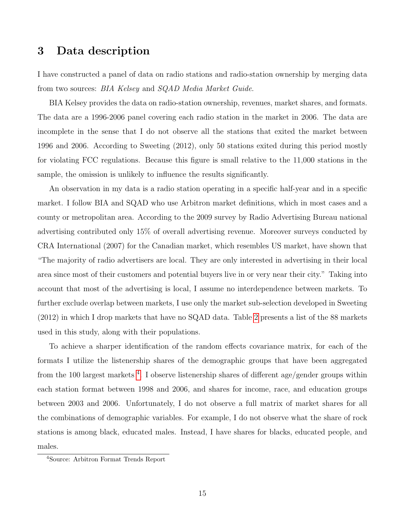## <span id="page-14-1"></span>3 Data description

I have constructed a panel of data on radio stations and radio-station ownership by merging data from two sources: BIA Kelsey and SQAD Media Market Guide.

BIA Kelsey provides the data on radio-station ownership, revenues, market shares, and formats. The data are a 1996-2006 panel covering each radio station in the market in 2006. The data are incomplete in the sense that I do not observe all the stations that exited the market between 1996 and 2006. According to Sweeting (2012), only 50 stations exited during this period mostly for violating FCC regulations. Because this figure is small relative to the 11,000 stations in the sample, the omission is unlikely to influence the results significantly.

An observation in my data is a radio station operating in a specific half-year and in a specific market. I follow BIA and SQAD who use Arbitron market definitions, which in most cases and a county or metropolitan area. According to the 2009 survey by Radio Advertising Bureau national advertising contributed only 15% of overall advertising revenue. Moreover surveys conducted by CRA International (2007) for the Canadian market, which resembles US market, have shown that "The majority of radio advertisers are local. They are only interested in advertising in their local area since most of their customers and potential buyers live in or very near their city." Taking into account that most of the advertising is local, I assume no interdependence between markets. To further exclude overlap between markets, I use only the market sub-selection developed in Sweeting (2012) in which I drop markets that have no SQAD data. Table [2](#page-43-0) presents a list of the 88 markets used in this study, along with their populations.

To achieve a sharper identification of the random effects covariance matrix, for each of the formats I utilize the listenership shares of the demographic groups that have been aggregated from the 100 largest markets<sup>[4](#page-14-0)</sup>. I observe listenership shares of different age/gender groups within each station format between 1998 and 2006, and shares for income, race, and education groups between 2003 and 2006. Unfortunately, I do not observe a full matrix of market shares for all the combinations of demographic variables. For example, I do not observe what the share of rock stations is among black, educated males. Instead, I have shares for blacks, educated people, and males.

<span id="page-14-0"></span><sup>4</sup>Source: Arbitron Format Trends Report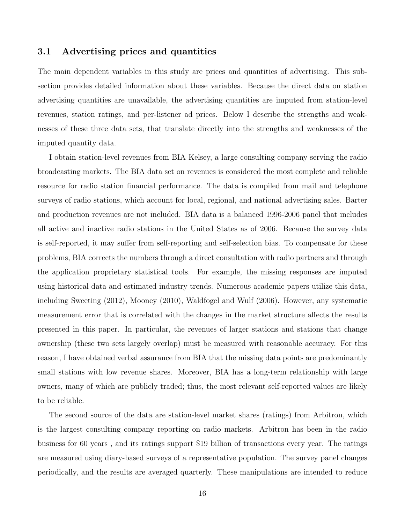#### 3.1 Advertising prices and quantities

The main dependent variables in this study are prices and quantities of advertising. This subsection provides detailed information about these variables. Because the direct data on station advertising quantities are unavailable, the advertising quantities are imputed from station-level revenues, station ratings, and per-listener ad prices. Below I describe the strengths and weaknesses of these three data sets, that translate directly into the strengths and weaknesses of the imputed quantity data.

I obtain station-level revenues from BIA Kelsey, a large consulting company serving the radio broadcasting markets. The BIA data set on revenues is considered the most complete and reliable resource for radio station financial performance. The data is compiled from mail and telephone surveys of radio stations, which account for local, regional, and national advertising sales. Barter and production revenues are not included. BIA data is a balanced 1996-2006 panel that includes all active and inactive radio stations in the United States as of 2006. Because the survey data is self-reported, it may suffer from self-reporting and self-selection bias. To compensate for these problems, BIA corrects the numbers through a direct consultation with radio partners and through the application proprietary statistical tools. For example, the missing responses are imputed using historical data and estimated industry trends. Numerous academic papers utilize this data, including Sweeting (2012), Mooney (2010), Waldfogel and Wulf (2006). However, any systematic measurement error that is correlated with the changes in the market structure affects the results presented in this paper. In particular, the revenues of larger stations and stations that change ownership (these two sets largely overlap) must be measured with reasonable accuracy. For this reason, I have obtained verbal assurance from BIA that the missing data points are predominantly small stations with low revenue shares. Moreover, BIA has a long-term relationship with large owners, many of which are publicly traded; thus, the most relevant self-reported values are likely to be reliable.

The second source of the data are station-level market shares (ratings) from Arbitron, which is the largest consulting company reporting on radio markets. Arbitron has been in the radio business for 60 years , and its ratings support \$19 billion of transactions every year. The ratings are measured using diary-based surveys of a representative population. The survey panel changes periodically, and the results are averaged quarterly. These manipulations are intended to reduce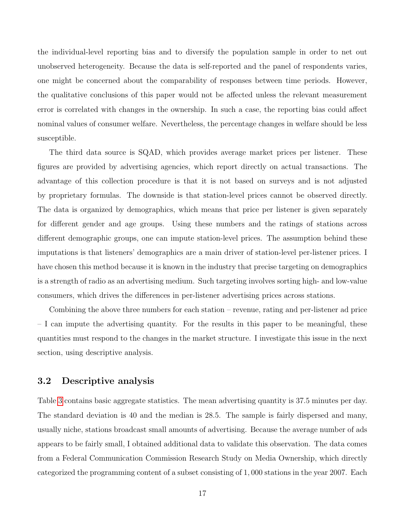the individual-level reporting bias and to diversify the population sample in order to net out unobserved heterogeneity. Because the data is self-reported and the panel of respondents varies, one might be concerned about the comparability of responses between time periods. However, the qualitative conclusions of this paper would not be affected unless the relevant measurement error is correlated with changes in the ownership. In such a case, the reporting bias could affect nominal values of consumer welfare. Nevertheless, the percentage changes in welfare should be less susceptible.

The third data source is SQAD, which provides average market prices per listener. These figures are provided by advertising agencies, which report directly on actual transactions. The advantage of this collection procedure is that it is not based on surveys and is not adjusted by proprietary formulas. The downside is that station-level prices cannot be observed directly. The data is organized by demographics, which means that price per listener is given separately for different gender and age groups. Using these numbers and the ratings of stations across different demographic groups, one can impute station-level prices. The assumption behind these imputations is that listeners' demographics are a main driver of station-level per-listener prices. I have chosen this method because it is known in the industry that precise targeting on demographics is a strength of radio as an advertising medium. Such targeting involves sorting high- and low-value consumers, which drives the differences in per-listener advertising prices across stations.

Combining the above three numbers for each station – revenue, rating and per-listener ad price – I can impute the advertising quantity. For the results in this paper to be meaningful, these quantities must respond to the changes in the market structure. I investigate this issue in the next section, using descriptive analysis.

#### 3.2 Descriptive analysis

Table [3](#page-44-0) contains basic aggregate statistics. The mean advertising quantity is 37.5 minutes per day. The standard deviation is 40 and the median is 28.5. The sample is fairly dispersed and many, usually niche, stations broadcast small amounts of advertising. Because the average number of ads appears to be fairly small, I obtained additional data to validate this observation. The data comes from a Federal Communication Commission Research Study on Media Ownership, which directly categorized the programming content of a subset consisting of 1, 000 stations in the year 2007. Each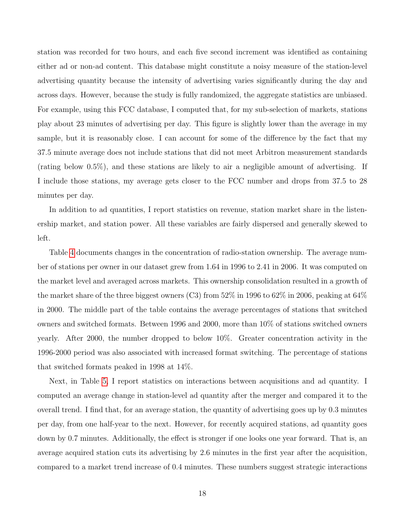station was recorded for two hours, and each five second increment was identified as containing either ad or non-ad content. This database might constitute a noisy measure of the station-level advertising quantity because the intensity of advertising varies significantly during the day and across days. However, because the study is fully randomized, the aggregate statistics are unbiased. For example, using this FCC database, I computed that, for my sub-selection of markets, stations play about 23 minutes of advertising per day. This figure is slightly lower than the average in my sample, but it is reasonably close. I can account for some of the difference by the fact that my 37.5 minute average does not include stations that did not meet Arbitron measurement standards (rating below 0.5%), and these stations are likely to air a negligible amount of advertising. If I include those stations, my average gets closer to the FCC number and drops from 37.5 to 28 minutes per day.

In addition to ad quantities, I report statistics on revenue, station market share in the listenership market, and station power. All these variables are fairly dispersed and generally skewed to left.

Table [4](#page-44-1) documents changes in the concentration of radio-station ownership. The average number of stations per owner in our dataset grew from 1.64 in 1996 to 2.41 in 2006. It was computed on the market level and averaged across markets. This ownership consolidation resulted in a growth of the market share of the three biggest owners (C3) from 52% in 1996 to 62% in 2006, peaking at 64% in 2000. The middle part of the table contains the average percentages of stations that switched owners and switched formats. Between 1996 and 2000, more than 10% of stations switched owners yearly. After 2000, the number dropped to below 10%. Greater concentration activity in the 1996-2000 period was also associated with increased format switching. The percentage of stations that switched formats peaked in 1998 at 14%.

Next, in Table [5,](#page-45-0) I report statistics on interactions between acquisitions and ad quantity. I computed an average change in station-level ad quantity after the merger and compared it to the overall trend. I find that, for an average station, the quantity of advertising goes up by 0.3 minutes per day, from one half-year to the next. However, for recently acquired stations, ad quantity goes down by 0.7 minutes. Additionally, the effect is stronger if one looks one year forward. That is, an average acquired station cuts its advertising by 2.6 minutes in the first year after the acquisition, compared to a market trend increase of 0.4 minutes. These numbers suggest strategic interactions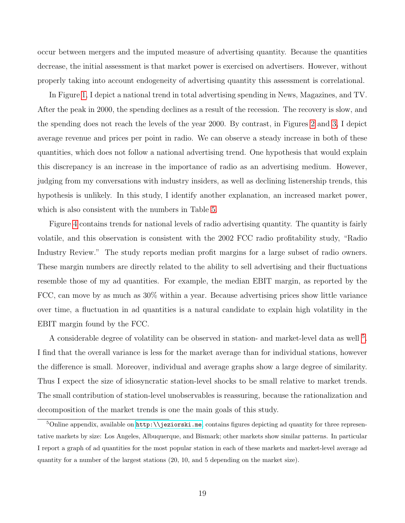occur between mergers and the imputed measure of advertising quantity. Because the quantities decrease, the initial assessment is that market power is exercised on advertisers. However, without properly taking into account endogeneity of advertising quantity this assessment is correlational.

In Figure [1,](#page-45-1) I depict a national trend in total advertising spending in News, Magazines, and TV. After the peak in 2000, the spending declines as a result of the recession. The recovery is slow, and the spending does not reach the levels of the year 2000. By contrast, in Figures [2](#page-45-2) and [3,](#page-46-0) I depict average revenue and prices per point in radio. We can observe a steady increase in both of these quantities, which does not follow a national advertising trend. One hypothesis that would explain this discrepancy is an increase in the importance of radio as an advertising medium. However, judging from my conversations with industry insiders, as well as declining listenership trends, this hypothesis is unlikely. In this study, I identify another explanation, an increased market power, which is also consistent with the numbers in Table [5.](#page-45-0)

Figure [4](#page-46-1) contains trends for national levels of radio advertising quantity. The quantity is fairly volatile, and this observation is consistent with the 2002 FCC radio profitability study, "Radio Industry Review." The study reports median profit margins for a large subset of radio owners. These margin numbers are directly related to the ability to sell advertising and their fluctuations resemble those of my ad quantities. For example, the median EBIT margin, as reported by the FCC, can move by as much as 30% within a year. Because advertising prices show little variance over time, a fluctuation in ad quantities is a natural candidate to explain high volatility in the EBIT margin found by the FCC.

A considerable degree of volatility can be observed in station- and market-level data as well <sup>[5](#page-18-0)</sup>. I find that the overall variance is less for the market average than for individual stations, however the difference is small. Moreover, individual and average graphs show a large degree of similarity. Thus I expect the size of idiosyncratic station-level shocks to be small relative to market trends. The small contribution of station-level unobservables is reassuring, because the rationalization and decomposition of the market trends is one the main goals of this study.

<span id="page-18-0"></span><sup>&</sup>lt;sup>5</sup>Online appendix, available on  $http://jeziorski.me, contains figures depicting ad quantity for three representations.$ tative markets by size: Los Angeles, Albuquerque, and Bismark; other markets show similar patterns. In particular I report a graph of ad quantities for the most popular station in each of these markets and market-level average ad quantity for a number of the largest stations (20, 10, and 5 depending on the market size).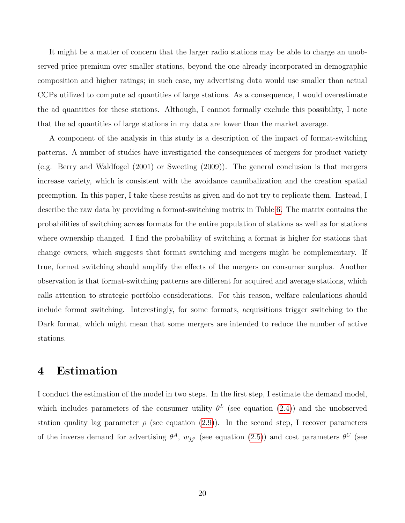It might be a matter of concern that the larger radio stations may be able to charge an unobserved price premium over smaller stations, beyond the one already incorporated in demographic composition and higher ratings; in such case, my advertising data would use smaller than actual CCPs utilized to compute ad quantities of large stations. As a consequence, I would overestimate the ad quantities for these stations. Although, I cannot formally exclude this possibility, I note that the ad quantities of large stations in my data are lower than the market average.

A component of the analysis in this study is a description of the impact of format-switching patterns. A number of studies have investigated the consequences of mergers for product variety (e.g. Berry and Waldfogel (2001) or Sweeting (2009)). The general conclusion is that mergers increase variety, which is consistent with the avoidance cannibalization and the creation spatial preemption. In this paper, I take these results as given and do not try to replicate them. Instead, I describe the raw data by providing a format-switching matrix in Table [6.](#page-47-0) The matrix contains the probabilities of switching across formats for the entire population of stations as well as for stations where ownership changed. I find the probability of switching a format is higher for stations that change owners, which suggests that format switching and mergers might be complementary. If true, format switching should amplify the effects of the mergers on consumer surplus. Another observation is that format-switching patterns are different for acquired and average stations, which calls attention to strategic portfolio considerations. For this reason, welfare calculations should include format switching. Interestingly, for some formats, acquisitions trigger switching to the Dark format, which might mean that some mergers are intended to reduce the number of active stations.

## 4 Estimation

I conduct the estimation of the model in two steps. In the first step, I estimate the demand model, which includes parameters of the consumer utility  $\theta^L$  (see equation [\(2.4\)](#page-8-0)) and the unobserved station quality lag parameter  $\rho$  (see equation [\(2.9\)](#page-13-0)). In the second step, I recover parameters of the inverse demand for advertising  $\theta^A$ ,  $w_{jj'}$  (see equation [\(2.5\)](#page-10-0)) and cost parameters  $\theta^C$  (see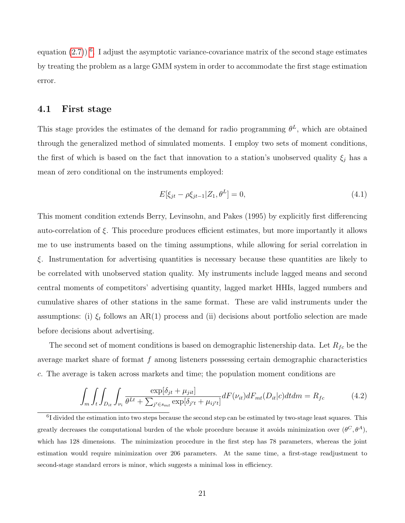equation  $(2.7)$ )<sup>[6](#page-20-0)</sup>. I adjust the asymptotic variance-covariance matrix of the second stage estimates by treating the problem as a large GMM system in order to accommodate the first stage estimation error.

#### 4.1 First stage

This stage provides the estimates of the demand for radio programming  $\theta^L$ , which are obtained through the generalized method of simulated moments. I employ two sets of moment conditions, the first of which is based on the fact that innovation to a station's unobserved quality  $\xi_j$  has a mean of zero conditional on the instruments employed:

<span id="page-20-2"></span><span id="page-20-1"></span>
$$
E[\xi_{jt} - \rho \xi_{jt-1} | Z_1, \theta^L] = 0, \qquad (4.1)
$$

This moment condition extends Berry, Levinsohn, and Pakes (1995) by explicitly first differencing auto-correlation of  $\xi$ . This procedure produces efficient estimates, but more importantly it allows me to use instruments based on the timing assumptions, while allowing for serial correlation in  $\xi$ . Instrumentation for advertising quantities is necessary because these quantities are likely to be correlated with unobserved station quality. My instruments include lagged means and second central moments of competitors' advertising quantity, lagged market HHIs, lagged numbers and cumulative shares of other stations in the same format. These are valid instruments under the assumptions: (i)  $\xi_t$  follows an AR(1) process and (ii) decisions about portfolio selection are made before decisions about advertising.

The second set of moment conditions is based on demographic listenership data. Let  $R_{fc}$  be the average market share of format  $f$  among listeners possessing certain demographic characteristics c. The average is taken across markets and time; the population moment conditions are

$$
\int_{m} \int_{t} \int_{D_{it}} \int_{\nu_{i}} \frac{\exp[\delta_{jt} + \mu_{jit}]}{\theta^{Lt} + \sum_{j' \in s_{mt}} \exp[\delta_{j't} + \mu_{ij't}]} dF(\nu_{it}) dF_{mt}(D_{it}|c) dt dm = R_{fc}
$$
\n(4.2)

<span id="page-20-0"></span><sup>6</sup>I divided the estimation into two steps because the second step can be estimated by two-stage least squares. This greatly decreases the computational burden of the whole procedure because it avoids minimization over  $(\theta^C, \theta^A)$ , which has 128 dimensions. The minimization procedure in the first step has 78 parameters, whereas the joint estimation would require minimization over 206 parameters. At the same time, a first-stage readjustment to second-stage standard errors is minor, which suggests a minimal loss in efficiency.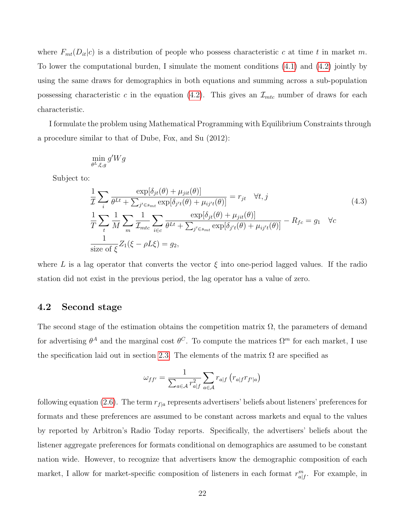where  $F_{mt}(D_{it}|c)$  is a distribution of people who possess characteristic c at time t in market m. To lower the computational burden, I simulate the moment conditions [\(4.1\)](#page-20-1) and [\(4.2\)](#page-20-2) jointly by using the same draws for demographics in both equations and summing across a sub-population possessing characteristic c in the equation [\(4.2\)](#page-20-2). This gives an  $\mathcal{I}_{\text{mtc}}$  number of draws for each characteristic.

I formulate the problem using Mathematical Programming with Equilibrium Constraints through a procedure similar to that of Dube, Fox, and Su (2012):

<span id="page-21-0"></span>
$$
\min_{\theta^L,\xi,g} g'Wg
$$

Subject to:

$$
\frac{1}{\mathcal{I}} \sum_{i} \frac{\exp[\delta_{jt}(\theta) + \mu_{jit}(\theta)]}{\theta^{Lt} + \sum_{j' \in s_{mt}} \exp[\delta_{j't}(\theta) + \mu_{ij't}(\theta)]} = r_{jt} \quad \forall t, j
$$
\n
$$
\frac{1}{\mathcal{I}} \sum_{t} \frac{1}{M} \sum_{m} \frac{1}{\mathcal{I}_{mtc}} \sum_{i \in c} \frac{\exp[\delta_{jt}(\theta) + \mu_{jit}(\theta)]}{\theta^{Lt} + \sum_{j' \in s_{mt}} \exp[\delta_{j't}(\theta) + \mu_{ij't}(\theta)]} - R_{fc} = g_1 \quad \forall c
$$
\n
$$
\frac{1}{\text{size of } \xi} Z_1(\xi - \rho L \xi) = g_2,
$$
\n(4.3)

where L is a lag operator that converts the vector  $\xi$  into one-period lagged values. If the radio station did not exist in the previous period, the lag operator has a value of zero.

#### 4.2 Second stage

The second stage of the estimation obtains the competition matrix  $\Omega$ , the parameters of demand for advertising  $\theta^A$  and the marginal cost  $\theta^C$ . To compute the matrices  $\Omega^m$  for each market, I use the specification laid out in section [2.3.](#page-9-0) The elements of the matrix  $\Omega$  are specified as

$$
\omega_{ff'} = \frac{1}{\sum_{a \in \mathcal{A}} r_{a|f}^2} \sum_{a \in \mathcal{A}} r_{a|f} (r_{a|f} r_{f'|a})
$$

following equation [\(2.6\)](#page-11-0). The term  $r_{f|a}$  represents advertisers' beliefs about listeners' preferences for formats and these preferences are assumed to be constant across markets and equal to the values by reported by Arbitron's Radio Today reports. Specifically, the advertisers' beliefs about the listener aggregate preferences for formats conditional on demographics are assumed to be constant nation wide. However, to recognize that advertisers know the demographic composition of each market, I allow for market-specific composition of listeners in each format  $r_{a|f}^m$ . For example, in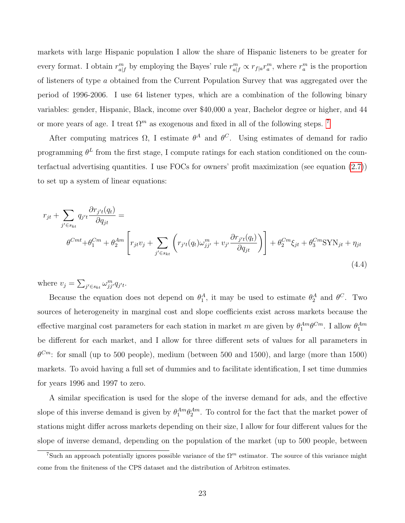markets with large Hispanic population I allow the share of Hispanic listeners to be greater for every format. I obtain  $r_{a|f}^m$  by employing the Bayes' rule  $r_{a|f}^m \propto r_{f|a} r_a^m$ , where  $r_a^m$  is the proportion of listeners of type a obtained from the Current Population Survey that was aggregated over the period of 1996-2006. I use 64 listener types, which are a combination of the following binary variables: gender, Hispanic, Black, income over \$40,000 a year, Bachelor degree or higher, and 44 or more years of age. I treat  $\Omega^m$  as exogenous and fixed in all of the following steps. <sup>[7](#page-22-0)</sup>

After computing matrices  $\Omega$ , I estimate  $\theta^A$  and  $\theta^C$ . Using estimates of demand for radio programming  $\theta^L$  from the first stage, I compute ratings for each station conditioned on the counterfactual advertising quantities. I use FOCs for owners' profit maximization (see equation [\(2.7\)](#page-12-0)) to set up a system of linear equations:

<span id="page-22-1"></span>
$$
r_{jt} + \sum_{j' \in s_{kt}} q_{j't} \frac{\partial r_{j't}(q_t)}{\partial q_{jt}} =
$$
  

$$
\theta^{Cmt} + \theta_1^{Cm} + \theta_2^{Am} \left[ r_{jt} v_j + \sum_{j' \in s_{kt}} \left( r_{j't}(q_t) \omega_{jj'}^m + v_{j'} \frac{\partial r_{j't}(q_t)}{\partial q_{jt}} \right) \right] + \theta_2^{Cm} \xi_{jt} + \theta_3^{Cm} \text{SYN}_{jt} + \eta_{jt}
$$
\n(4.4)

where  $v_j = \sum_{j' \in s_{kt}} \omega_{jj'}^m q_{j't}$ .

Because the equation does not depend on  $\theta_1^A$ , it may be used to estimate  $\theta_2^A$  and  $\theta^C$ . Two sources of heterogeneity in marginal cost and slope coefficients exist across markets because the effective marginal cost parameters for each station in market m are given by  $\theta_1^{Am}\theta^{Cm}$ . I allow  $\theta_1^{Am}$ be different for each market, and I allow for three different sets of values for all parameters in  $\theta^{Cm}$ : for small (up to 500 people), medium (between 500 and 1500), and large (more than 1500) markets. To avoid having a full set of dummies and to facilitate identification, I set time dummies for years 1996 and 1997 to zero.

A similar specification is used for the slope of the inverse demand for ads, and the effective slope of this inverse demand is given by  $\theta_1^{Am}\theta_2^{Am}$ . To control for the fact that the market power of stations might differ across markets depending on their size, I allow for four different values for the slope of inverse demand, depending on the population of the market (up to 500 people, between

<span id="page-22-0"></span><sup>&</sup>lt;sup>7</sup>Such an approach potentially ignores possible variance of the  $\Omega^m$  estimator. The source of this variance might come from the finiteness of the CPS dataset and the distribution of Arbitron estimates.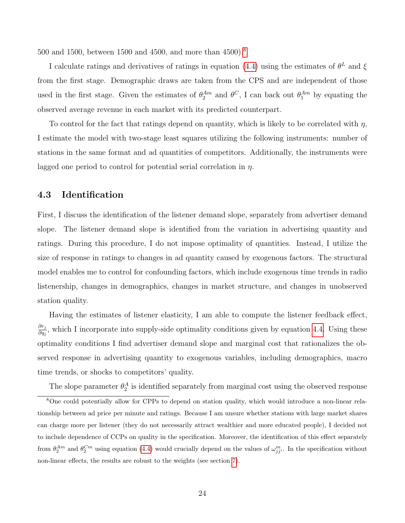500 and 1500, between 1500 and 4500, and more than 4500).<sup>[8](#page-23-0)</sup>

I calculate ratings and derivatives of ratings in equation [\(4.4\)](#page-22-1) using the estimates of  $\theta^L$  and  $\xi$ from the first stage. Demographic draws are taken from the CPS and are independent of those used in the first stage. Given the estimates of  $\theta_2^{Am}$  and  $\theta^C$ , I can back out  $\theta_1^{Am}$  by equating the observed average revenue in each market with its predicted counterpart.

To control for the fact that ratings depend on quantity, which is likely to be correlated with  $\eta$ , I estimate the model with two-stage least squares utilizing the following instruments: number of stations in the same format and ad quantities of competitors. Additionally, the instruments were lagged one period to control for potential serial correlation in  $\eta$ .

#### 4.3 Identification

First, I discuss the identification of the listener demand slope, separately from advertiser demand slope. The listener demand slope is identified from the variation in advertising quantity and ratings. During this procedure, I do not impose optimality of quantities. Instead, I utilize the size of response in ratings to changes in ad quantity caused by exogenous factors. The structural model enables me to control for confounding factors, which include exogenous time trends in radio listenership, changes in demographics, changes in market structure, and changes in unobserved station quality.

Having the estimates of listener elasticity, I am able to compute the listener feedback effect,  $\partial r_j$  $\frac{\partial r_j}{\partial q_j}$ , which I incorporate into supply-side optimality conditions given by equation [4.4.](#page-22-1) Using these optimality conditions I find advertiser demand slope and marginal cost that rationalizes the observed response in advertising quantity to exogenous variables, including demographics, macro time trends, or shocks to competitors' quality.

<span id="page-23-0"></span>The slope parameter  $\theta_2^A$  is identified separately from marginal cost using the observed response

<sup>8</sup>One could potentially allow for CPPs to depend on station quality, which would introduce a non-linear relationship between ad price per minute and ratings. Because I am unsure whether stations with large market shares can charge more per listener (they do not necessarily attract wealthier and more educated people), I decided not to include dependence of CCPs on quality in the specification. Moreover, the identification of this effect separately from  $\theta_2^{Am}$  and  $\theta_2^{Cm}$  using equation [\(4.4\)](#page-22-1) would crucially depend on the values of  $\omega_{jj'}^m$ . In the specification without non-linear effects, the results are robust to the weights (see section [7\)](#page-35-0).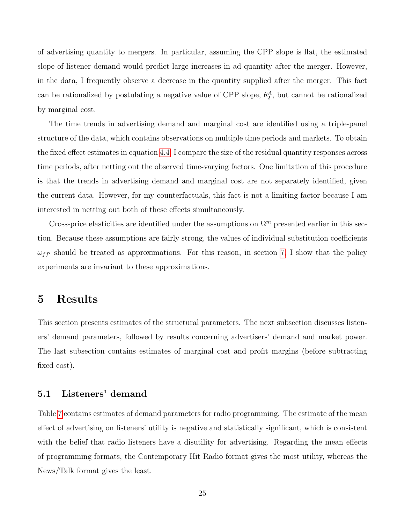of advertising quantity to mergers. In particular, assuming the CPP slope is flat, the estimated slope of listener demand would predict large increases in ad quantity after the merger. However, in the data, I frequently observe a decrease in the quantity supplied after the merger. This fact can be rationalized by postulating a negative value of CPP slope,  $\theta_2^A$ , but cannot be rationalized by marginal cost.

The time trends in advertising demand and marginal cost are identified using a triple-panel structure of the data, which contains observations on multiple time periods and markets. To obtain the fixed effect estimates in equation [4.4,](#page-22-1) I compare the size of the residual quantity responses across time periods, after netting out the observed time-varying factors. One limitation of this procedure is that the trends in advertising demand and marginal cost are not separately identified, given the current data. However, for my counterfactuals, this fact is not a limiting factor because I am interested in netting out both of these effects simultaneously.

Cross-price elasticities are identified under the assumptions on  $\Omega^m$  presented earlier in this section. Because these assumptions are fairly strong, the values of individual substitution coefficients  $\omega_{ff'}$  should be treated as approximations. For this reason, in section [7,](#page-35-0) I show that the policy experiments are invariant to these approximations.

## <span id="page-24-0"></span>5 Results

This section presents estimates of the structural parameters. The next subsection discusses listeners' demand parameters, followed by results concerning advertisers' demand and market power. The last subsection contains estimates of marginal cost and profit margins (before subtracting fixed cost).

#### 5.1 Listeners' demand

Table [7](#page-48-0) contains estimates of demand parameters for radio programming. The estimate of the mean effect of advertising on listeners' utility is negative and statistically significant, which is consistent with the belief that radio listeners have a disutility for advertising. Regarding the mean effects of programming formats, the Contemporary Hit Radio format gives the most utility, whereas the News/Talk format gives the least.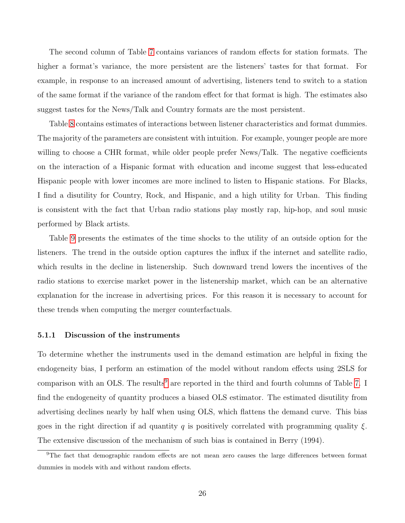The second column of Table [7](#page-48-0) contains variances of random effects for station formats. The higher a format's variance, the more persistent are the listeners' tastes for that format. For example, in response to an increased amount of advertising, listeners tend to switch to a station of the same format if the variance of the random effect for that format is high. The estimates also suggest tastes for the News/Talk and Country formats are the most persistent.

Table [8](#page-49-0) contains estimates of interactions between listener characteristics and format dummies. The majority of the parameters are consistent with intuition. For example, younger people are more willing to choose a CHR format, while older people prefer News/Talk. The negative coefficients on the interaction of a Hispanic format with education and income suggest that less-educated Hispanic people with lower incomes are more inclined to listen to Hispanic stations. For Blacks, I find a disutility for Country, Rock, and Hispanic, and a high utility for Urban. This finding is consistent with the fact that Urban radio stations play mostly rap, hip-hop, and soul music performed by Black artists.

Table [9](#page-50-0) presents the estimates of the time shocks to the utility of an outside option for the listeners. The trend in the outside option captures the influx if the internet and satellite radio, which results in the decline in listenership. Such downward trend lowers the incentives of the radio stations to exercise market power in the listenership market, which can be an alternative explanation for the increase in advertising prices. For this reason it is necessary to account for these trends when computing the merger counterfactuals.

#### 5.1.1 Discussion of the instruments

To determine whether the instruments used in the demand estimation are helpful in fixing the endogeneity bias, I perform an estimation of the model without random effects using 2SLS for comparison with an OLS. The results<sup>[9](#page-25-0)</sup> are reported in the third and fourth columns of Table [7.](#page-48-0) I find the endogeneity of quantity produces a biased OLS estimator. The estimated disutility from advertising declines nearly by half when using OLS, which flattens the demand curve. This bias goes in the right direction if ad quantity q is positively correlated with programming quality  $\xi$ . The extensive discussion of the mechanism of such bias is contained in Berry (1994).

<span id="page-25-0"></span><sup>9</sup>The fact that demographic random effects are not mean zero causes the large differences between format dummies in models with and without random effects.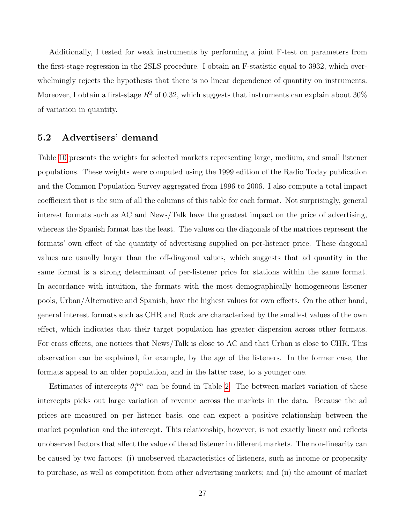Additionally, I tested for weak instruments by performing a joint F-test on parameters from the first-stage regression in the 2SLS procedure. I obtain an F-statistic equal to 3932, which overwhelmingly rejects the hypothesis that there is no linear dependence of quantity on instruments. Moreover, I obtain a first-stage  $R^2$  of 0.32, which suggests that instruments can explain about 30% of variation in quantity.

#### 5.2 Advertisers' demand

Table [10](#page-51-0) presents the weights for selected markets representing large, medium, and small listener populations. These weights were computed using the 1999 edition of the Radio Today publication and the Common Population Survey aggregated from 1996 to 2006. I also compute a total impact coefficient that is the sum of all the columns of this table for each format. Not surprisingly, general interest formats such as AC and News/Talk have the greatest impact on the price of advertising, whereas the Spanish format has the least. The values on the diagonals of the matrices represent the formats' own effect of the quantity of advertising supplied on per-listener price. These diagonal values are usually larger than the off-diagonal values, which suggests that ad quantity in the same format is a strong determinant of per-listener price for stations within the same format. In accordance with intuition, the formats with the most demographically homogeneous listener pools, Urban/Alternative and Spanish, have the highest values for own effects. On the other hand, general interest formats such as CHR and Rock are characterized by the smallest values of the own effect, which indicates that their target population has greater dispersion across other formats. For cross effects, one notices that News/Talk is close to AC and that Urban is close to CHR. This observation can be explained, for example, by the age of the listeners. In the former case, the formats appeal to an older population, and in the latter case, to a younger one.

Estimates of intercepts  $\theta_1^{Am}$  can be found in Table [2.](#page-43-0) The between-market variation of these intercepts picks out large variation of revenue across the markets in the data. Because the ad prices are measured on per listener basis, one can expect a positive relationship between the market population and the intercept. This relationship, however, is not exactly linear and reflects unobserved factors that affect the value of the ad listener in different markets. The non-linearity can be caused by two factors: (i) unobserved characteristics of listeners, such as income or propensity to purchase, as well as competition from other advertising markets; and (ii) the amount of market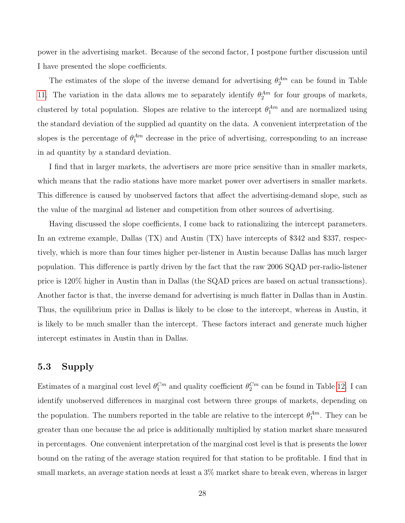power in the advertising market. Because of the second factor, I postpone further discussion until I have presented the slope coefficients.

The estimates of the slope of the inverse demand for advertising  $\theta_2^{Am}$  can be found in Table [11.](#page-52-0) The variation in the data allows me to separately identify  $\theta_2^{Am}$  for four groups of markets, clustered by total population. Slopes are relative to the intercept  $\theta_1^{Am}$  and are normalized using the standard deviation of the supplied ad quantity on the data. A convenient interpretation of the slopes is the percentage of  $\theta_1^{Am}$  decrease in the price of advertising, corresponding to an increase in ad quantity by a standard deviation.

I find that in larger markets, the advertisers are more price sensitive than in smaller markets, which means that the radio stations have more market power over advertisers in smaller markets. This difference is caused by unobserved factors that affect the advertising-demand slope, such as the value of the marginal ad listener and competition from other sources of advertising.

Having discussed the slope coefficients, I come back to rationalizing the intercept parameters. In an extreme example, Dallas (TX) and Austin (TX) have intercepts of \$342 and \$337, respectively, which is more than four times higher per-listener in Austin because Dallas has much larger population. This difference is partly driven by the fact that the raw 2006 SQAD per-radio-listener price is 120% higher in Austin than in Dallas (the SQAD prices are based on actual transactions). Another factor is that, the inverse demand for advertising is much flatter in Dallas than in Austin. Thus, the equilibrium price in Dallas is likely to be close to the intercept, whereas in Austin, it is likely to be much smaller than the intercept. These factors interact and generate much higher intercept estimates in Austin than in Dallas.

#### 5.3 Supply

Estimates of a marginal cost level  $\theta_1^{Cm}$  and quality coefficient  $\theta_2^{Cm}$  can be found in Table [12.](#page-52-1) I can identify unobserved differences in marginal cost between three groups of markets, depending on the population. The numbers reported in the table are relative to the intercept  $\theta_1^{Am}$ . They can be greater than one because the ad price is additionally multiplied by station market share measured in percentages. One convenient interpretation of the marginal cost level is that is presents the lower bound on the rating of the average station required for that station to be profitable. I find that in small markets, an average station needs at least a 3% market share to break even, whereas in larger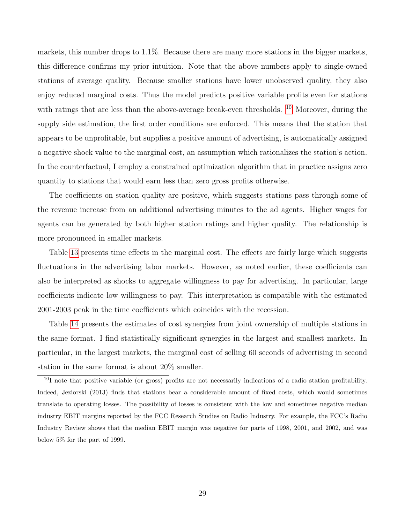markets, this number drops to  $1.1\%$ . Because there are many more stations in the bigger markets, this difference confirms my prior intuition. Note that the above numbers apply to single-owned stations of average quality. Because smaller stations have lower unobserved quality, they also enjoy reduced marginal costs. Thus the model predicts positive variable profits even for stations with ratings that are less than the above-average break-even thresholds. <sup>[10](#page-28-0)</sup> Moreover, during the supply side estimation, the first order conditions are enforced. This means that the station that appears to be unprofitable, but supplies a positive amount of advertising, is automatically assigned a negative shock value to the marginal cost, an assumption which rationalizes the station's action. In the counterfactual, I employ a constrained optimization algorithm that in practice assigns zero quantity to stations that would earn less than zero gross profits otherwise.

The coefficients on station quality are positive, which suggests stations pass through some of the revenue increase from an additional advertising minutes to the ad agents. Higher wages for agents can be generated by both higher station ratings and higher quality. The relationship is more pronounced in smaller markets.

Table [13](#page-52-2) presents time effects in the marginal cost. The effects are fairly large which suggests fluctuations in the advertising labor markets. However, as noted earlier, these coefficients can also be interpreted as shocks to aggregate willingness to pay for advertising. In particular, large coefficients indicate low willingness to pay. This interpretation is compatible with the estimated 2001-2003 peak in the time coefficients which coincides with the recession.

Table [14](#page-53-0) presents the estimates of cost synergies from joint ownership of multiple stations in the same format. I find statistically significant synergies in the largest and smallest markets. In particular, in the largest markets, the marginal cost of selling 60 seconds of advertising in second station in the same format is about 20% smaller.

<span id="page-28-0"></span> $10<sup>I</sup>$  note that positive variable (or gross) profits are not necessarily indications of a radio station profitability. Indeed, Jeziorski (2013) finds that stations bear a considerable amount of fixed costs, which would sometimes translate to operating losses. The possibility of losses is consistent with the low and sometimes negative median industry EBIT margins reported by the FCC Research Studies on Radio Industry. For example, the FCC's Radio Industry Review shows that the median EBIT margin was negative for parts of 1998, 2001, and 2002, and was below 5% for the part of 1999.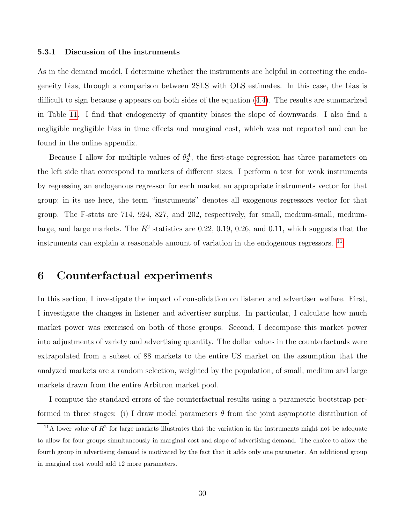#### 5.3.1 Discussion of the instruments

As in the demand model, I determine whether the instruments are helpful in correcting the endogeneity bias, through a comparison between 2SLS with OLS estimates. In this case, the bias is difficult to sign because q appears on both sides of the equation  $(4.4)$ . The results are summarized in Table [11.](#page-52-0) I find that endogeneity of quantity biases the slope of downwards. I also find a negligible negligible bias in time effects and marginal cost, which was not reported and can be found in the online appendix.

Because I allow for multiple values of  $\theta_2^A$ , the first-stage regression has three parameters on the left side that correspond to markets of different sizes. I perform a test for weak instruments by regressing an endogenous regressor for each market an appropriate instruments vector for that group; in its use here, the term "instruments" denotes all exogenous regressors vector for that group. The F-stats are 714, 924, 827, and 202, respectively, for small, medium-small, mediumlarge, and large markets. The  $R^2$  statistics are 0.22, 0.19, 0.26, and 0.11, which suggests that the instruments can explain a reasonable amount of variation in the endogenous regressors. <sup>[11](#page-29-0)</sup>

## 6 Counterfactual experiments

In this section, I investigate the impact of consolidation on listener and advertiser welfare. First, I investigate the changes in listener and advertiser surplus. In particular, I calculate how much market power was exercised on both of those groups. Second, I decompose this market power into adjustments of variety and advertising quantity. The dollar values in the counterfactuals were extrapolated from a subset of 88 markets to the entire US market on the assumption that the analyzed markets are a random selection, weighted by the population, of small, medium and large markets drawn from the entire Arbitron market pool.

I compute the standard errors of the counterfactual results using a parametric bootstrap performed in three stages: (i) I draw model parameters  $\theta$  from the joint asymptotic distribution of

<span id="page-29-0"></span><sup>&</sup>lt;sup>11</sup>A lower value of  $R^2$  for large markets illustrates that the variation in the instruments might not be adequate to allow for four groups simultaneously in marginal cost and slope of advertising demand. The choice to allow the fourth group in advertising demand is motivated by the fact that it adds only one parameter. An additional group in marginal cost would add 12 more parameters.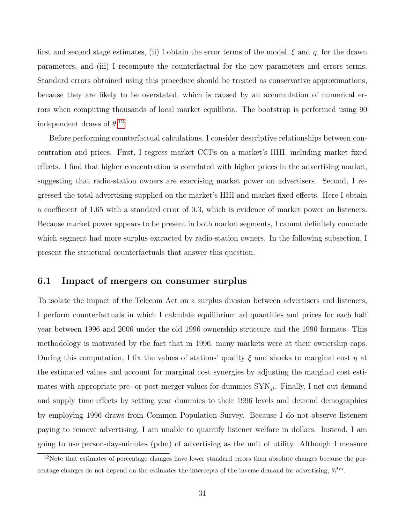first and second stage estimates, (ii) I obtain the error terms of the model,  $\xi$  and  $\eta$ , for the drawn parameters, and (iii) I recompute the counterfactual for the new parameters and errors terms. Standard errors obtained using this procedure should be treated as conservative approximations, because they are likely to be overstated, which is caused by an accumulation of numerical errors when computing thousands of local market equilibria. The bootstrap is performed using 90 independent draws of  $\theta$ <sup>[12](#page-30-0)</sup>

Before performing counterfactual calculations, I consider descriptive relationships between concentration and prices. First, I regress market CCPs on a market's HHI, including market fixed effects. I find that higher concentration is correlated with higher prices in the advertising market, suggesting that radio-station owners are exercising market power on advertisers. Second, I regressed the total advertising supplied on the market's HHI and market fixed effects. Here I obtain a coefficient of 1.65 with a standard error of 0.3, which is evidence of market power on listeners. Because market power appears to be present in both market segments, I cannot definitely conclude which segment had more surplus extracted by radio-station owners. In the following subsection, I present the structural counterfactuals that answer this question.

#### 6.1 Impact of mergers on consumer surplus

To isolate the impact of the Telecom Act on a surplus division between advertisers and listeners, I perform counterfactuals in which I calculate equilibrium ad quantities and prices for each half year between 1996 and 2006 under the old 1996 ownership structure and the 1996 formats. This methodology is motivated by the fact that in 1996, many markets were at their ownership caps. During this computation, I fix the values of stations' quality  $\xi$  and shocks to marginal cost  $\eta$  at the estimated values and account for marginal cost synergies by adjusting the marginal cost estimates with appropriate pre- or post-merger values for dummies  $SYN_{jt}$ . Finally, I net out demand and supply time effects by setting year dummies to their 1996 levels and detrend demographics by employing 1996 draws from Common Population Survey. Because I do not observe listeners paying to remove advertising, I am unable to quantify listener welfare in dollars. Instead, I am going to use person-day-minutes (pdm) of advertising as the unit of utility. Although I measure

<span id="page-30-0"></span><sup>12</sup>Note that estimates of percentage changes have lower standard errors than absolute changes because the percentage changes do not depend on the estimates the intercepts of the inverse demand for advertising,  $\theta_1^{Am}$ .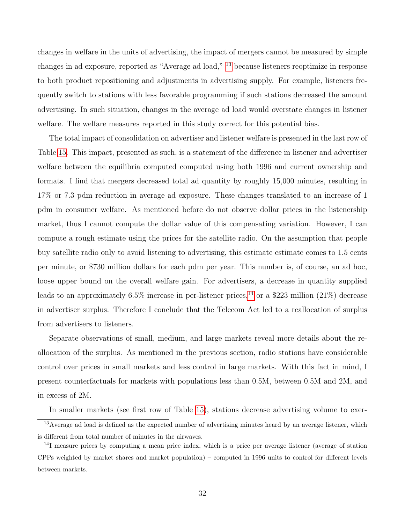changes in welfare in the units of advertising, the impact of mergers cannot be measured by simple changes in ad exposure, reported as "Average ad load," [13](#page-31-0) because listeners reoptimize in response to both product repositioning and adjustments in advertising supply. For example, listeners frequently switch to stations with less favorable programming if such stations decreased the amount advertising. In such situation, changes in the average ad load would overstate changes in listener welfare. The welfare measures reported in this study correct for this potential bias.

The total impact of consolidation on advertiser and listener welfare is presented in the last row of Table [15.](#page-53-1) This impact, presented as such, is a statement of the difference in listener and advertiser welfare between the equilibria computed computed using both 1996 and current ownership and formats. I find that mergers decreased total ad quantity by roughly 15,000 minutes, resulting in 17% or 7.3 pdm reduction in average ad exposure. These changes translated to an increase of 1 pdm in consumer welfare. As mentioned before do not observe dollar prices in the listenership market, thus I cannot compute the dollar value of this compensating variation. However, I can compute a rough estimate using the prices for the satellite radio. On the assumption that people buy satellite radio only to avoid listening to advertising, this estimate estimate comes to 1.5 cents per minute, or \$730 million dollars for each pdm per year. This number is, of course, an ad hoc, loose upper bound on the overall welfare gain. For advertisers, a decrease in quantity supplied leads to an approximately 6.5% increase in per-listener prices,<sup>[14](#page-31-1)</sup> or a \$223 million (21%) decrease in advertiser surplus. Therefore I conclude that the Telecom Act led to a reallocation of surplus from advertisers to listeners.

Separate observations of small, medium, and large markets reveal more details about the reallocation of the surplus. As mentioned in the previous section, radio stations have considerable control over prices in small markets and less control in large markets. With this fact in mind, I present counterfactuals for markets with populations less than 0.5M, between 0.5M and 2M, and in excess of 2M.

<span id="page-31-0"></span>In smaller markets (see first row of Table [15\)](#page-53-1), stations decrease advertising volume to exer-

<sup>&</sup>lt;sup>13</sup>Average ad load is defined as the expected number of advertising minutes heard by an average listener, which is different from total number of minutes in the airwaves.

<span id="page-31-1"></span><sup>&</sup>lt;sup>14</sup>I measure prices by computing a mean price index, which is a price per average listener (average of station CPPs weighted by market shares and market population) – computed in 1996 units to control for different levels between markets.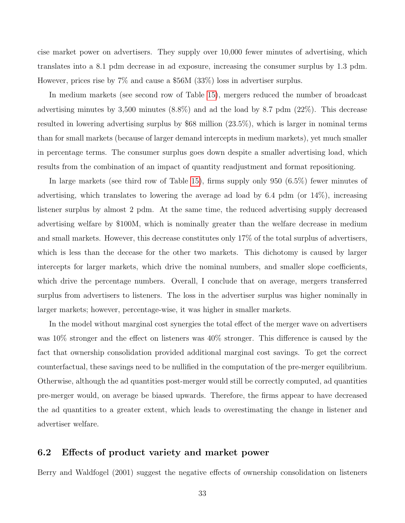cise market power on advertisers. They supply over 10,000 fewer minutes of advertising, which translates into a 8.1 pdm decrease in ad exposure, increasing the consumer surplus by 1.3 pdm. However, prices rise by 7% and cause a \$56M (33%) loss in advertiser surplus.

In medium markets (see second row of Table [15\)](#page-53-1), mergers reduced the number of broadcast advertising minutes by 3,500 minutes (8.8%) and ad the load by 8.7 pdm (22%). This decrease resulted in lowering advertising surplus by \$68 million (23.5%), which is larger in nominal terms than for small markets (because of larger demand intercepts in medium markets), yet much smaller in percentage terms. The consumer surplus goes down despite a smaller advertising load, which results from the combination of an impact of quantity readjustment and format repositioning.

In large markets (see third row of Table [15\)](#page-53-1), firms supply only 950 (6.5%) fewer minutes of advertising, which translates to lowering the average ad load by 6.4 pdm (or 14%), increasing listener surplus by almost 2 pdm. At the same time, the reduced advertising supply decreased advertising welfare by \$100M, which is nominally greater than the welfare decrease in medium and small markets. However, this decrease constitutes only 17% of the total surplus of advertisers, which is less than the decease for the other two markets. This dichotomy is caused by larger intercepts for larger markets, which drive the nominal numbers, and smaller slope coefficients, which drive the percentage numbers. Overall, I conclude that on average, mergers transferred surplus from advertisers to listeners. The loss in the advertiser surplus was higher nominally in larger markets; however, percentage-wise, it was higher in smaller markets.

In the model without marginal cost synergies the total effect of the merger wave on advertisers was 10% stronger and the effect on listeners was 40% stronger. This difference is caused by the fact that ownership consolidation provided additional marginal cost savings. To get the correct counterfactual, these savings need to be nullified in the computation of the pre-merger equilibrium. Otherwise, although the ad quantities post-merger would still be correctly computed, ad quantities pre-merger would, on average be biased upwards. Therefore, the firms appear to have decreased the ad quantities to a greater extent, which leads to overestimating the change in listener and advertiser welfare.

#### 6.2 Effects of product variety and market power

Berry and Waldfogel (2001) suggest the negative effects of ownership consolidation on listeners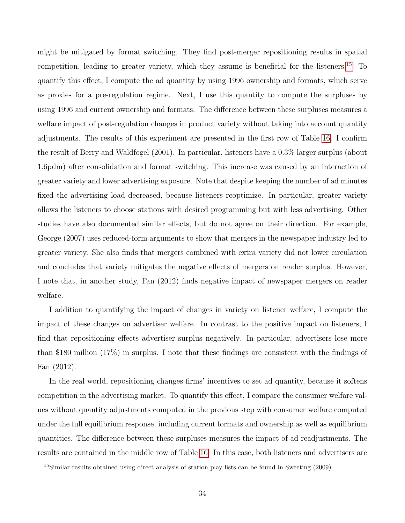might be mitigated by format switching. They find post-merger repositioning results in spatial competition, leading to greater variety, which they assume is beneficial for the listeners.<sup>[15](#page-33-0)</sup> To quantify this effect, I compute the ad quantity by using 1996 ownership and formats, which serve as proxies for a pre-regulation regime. Next, I use this quantity to compute the surpluses by using 1996 and current ownership and formats. The difference between these surpluses measures a welfare impact of post-regulation changes in product variety without taking into account quantity adjustments. The results of this experiment are presented in the first row of Table [16.](#page-54-0) I confirm the result of Berry and Waldfogel (2001). In particular, listeners have a 0.3% larger surplus (about 1.6pdm) after consolidation and format switching. This increase was caused by an interaction of greater variety and lower advertising exposure. Note that despite keeping the number of ad minutes fixed the advertising load decreased, because listeners reoptimize. In particular, greater variety allows the listeners to choose stations with desired programming but with less advertising. Other studies have also documented similar effects, but do not agree on their direction. For example, George (2007) uses reduced-form arguments to show that mergers in the newspaper industry led to greater variety. She also finds that mergers combined with extra variety did not lower circulation and concludes that variety mitigates the negative effects of mergers on reader surplus. However, I note that, in another study, Fan (2012) finds negative impact of newspaper mergers on reader welfare.

I addition to quantifying the impact of changes in variety on listener welfare, I compute the impact of these changes on advertiser welfare. In contrast to the positive impact on listeners, I find that repositioning effects advertiser surplus negatively. In particular, advertisers lose more than \$180 million (17%) in surplus. I note that these findings are consistent with the findings of Fan (2012).

In the real world, repositioning changes firms' incentives to set ad quantity, because it softens competition in the advertising market. To quantify this effect, I compare the consumer welfare values without quantity adjustments computed in the previous step with consumer welfare computed under the full equilibrium response, including current formats and ownership as well as equilibrium quantities. The difference between these surpluses measures the impact of ad readjustments. The results are contained in the middle row of Table [16.](#page-54-0) In this case, both listeners and advertisers are

<span id="page-33-0"></span><sup>15</sup>Similar results obtained using direct analysis of station play lists can be found in Sweeting (2009).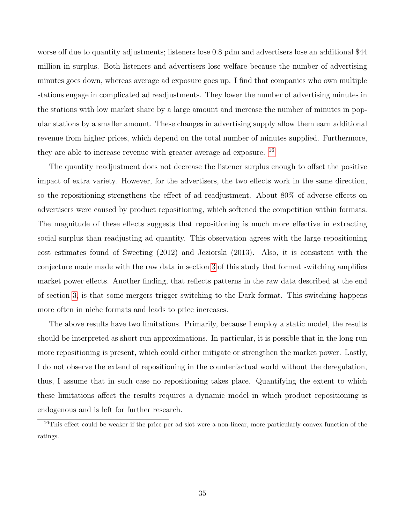worse off due to quantity adjustments; listeners lose 0.8 pdm and advertisers lose an additional \$44 million in surplus. Both listeners and advertisers lose welfare because the number of advertising minutes goes down, whereas average ad exposure goes up. I find that companies who own multiple stations engage in complicated ad readjustments. They lower the number of advertising minutes in the stations with low market share by a large amount and increase the number of minutes in popular stations by a smaller amount. These changes in advertising supply allow them earn additional revenue from higher prices, which depend on the total number of minutes supplied. Furthermore, they are able to increase revenue with greater average ad exposure. [16](#page-34-0)

The quantity readjustment does not decrease the listener surplus enough to offset the positive impact of extra variety. However, for the advertisers, the two effects work in the same direction, so the repositioning strengthens the effect of ad readjustment. About 80% of adverse effects on advertisers were caused by product repositioning, which softened the competition within formats. The magnitude of these effects suggests that repositioning is much more effective in extracting social surplus than readjusting ad quantity. This observation agrees with the large repositioning cost estimates found of Sweeting (2012) and Jeziorski (2013). Also, it is consistent with the conjecture made made with the raw data in section [3](#page-14-1) of this study that format switching amplifies market power effects. Another finding, that reflects patterns in the raw data described at the end of section [3,](#page-14-1) is that some mergers trigger switching to the Dark format. This switching happens more often in niche formats and leads to price increases.

The above results have two limitations. Primarily, because I employ a static model, the results should be interpreted as short run approximations. In particular, it is possible that in the long run more repositioning is present, which could either mitigate or strengthen the market power. Lastly, I do not observe the extend of repositioning in the counterfactual world without the deregulation, thus, I assume that in such case no repositioning takes place. Quantifying the extent to which these limitations affect the results requires a dynamic model in which product repositioning is endogenous and is left for further research.

<span id="page-34-0"></span><sup>&</sup>lt;sup>16</sup>This effect could be weaker if the price per ad slot were a non-linear, more particularly convex function of the ratings.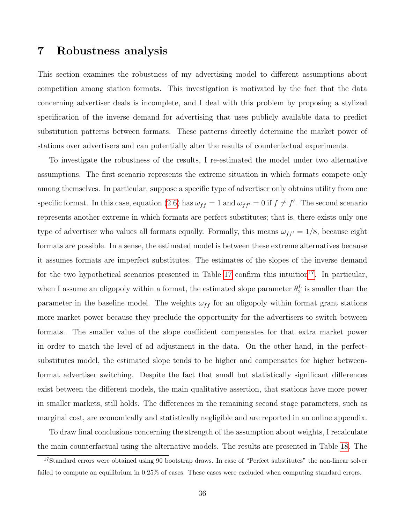### <span id="page-35-0"></span>7 Robustness analysis

This section examines the robustness of my advertising model to different assumptions about competition among station formats. This investigation is motivated by the fact that the data concerning advertiser deals is incomplete, and I deal with this problem by proposing a stylized specification of the inverse demand for advertising that uses publicly available data to predict substitution patterns between formats. These patterns directly determine the market power of stations over advertisers and can potentially alter the results of counterfactual experiments.

To investigate the robustness of the results, I re-estimated the model under two alternative assumptions. The first scenario represents the extreme situation in which formats compete only among themselves. In particular, suppose a specific type of advertiser only obtains utility from one specific format. In this case, equation [\(2.6\)](#page-11-0) has  $\omega_{ff} = 1$  and  $\omega_{ff'} = 0$  if  $f \neq f'$ . The second scenario represents another extreme in which formats are perfect substitutes; that is, there exists only one type of advertiser who values all formats equally. Formally, this means  $\omega_{ff'} = 1/8$ , because eight formats are possible. In a sense, the estimated model is between these extreme alternatives because it assumes formats are imperfect substitutes. The estimates of the slopes of the inverse demand for the two hypothetical scenarios presented in Table [17](#page-54-1) confirm this intuition<sup>[17](#page-35-1)</sup>. In particular, when I assume an oligopoly within a format, the estimated slope parameter  $\theta_2^L$  is smaller than the parameter in the baseline model. The weights  $\omega_{ff}$  for an oligopoly within format grant stations more market power because they preclude the opportunity for the advertisers to switch between formats. The smaller value of the slope coefficient compensates for that extra market power in order to match the level of ad adjustment in the data. On the other hand, in the perfectsubstitutes model, the estimated slope tends to be higher and compensates for higher betweenformat advertiser switching. Despite the fact that small but statistically significant differences exist between the different models, the main qualitative assertion, that stations have more power in smaller markets, still holds. The differences in the remaining second stage parameters, such as marginal cost, are economically and statistically negligible and are reported in an online appendix.

To draw final conclusions concerning the strength of the assumption about weights, I recalculate the main counterfactual using the alternative models. The results are presented in Table [18.](#page-55-0) The

<span id="page-35-1"></span><sup>&</sup>lt;sup>17</sup>Standard errors were obtained using 90 bootstrap draws. In case of "Perfect substitutes" the non-linear solver failed to compute an equilibrium in 0.25% of cases. These cases were excluded when computing standard errors.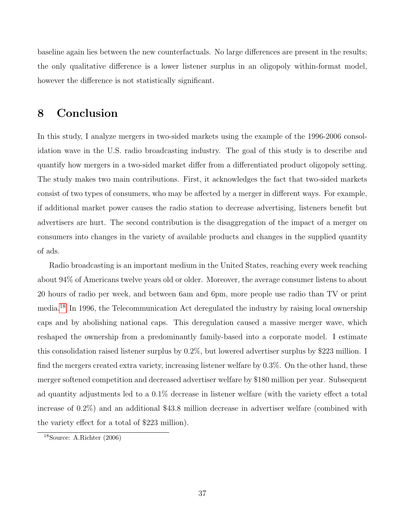baseline again lies between the new counterfactuals. No large differences are present in the results; the only qualitative difference is a lower listener surplus in an oligopoly within-format model, however the difference is not statistically significant.

## 8 Conclusion

In this study, I analyze mergers in two-sided markets using the example of the 1996-2006 consolidation wave in the U.S. radio broadcasting industry. The goal of this study is to describe and quantify how mergers in a two-sided market differ from a differentiated product oligopoly setting. The study makes two main contributions. First, it acknowledges the fact that two-sided markets consist of two types of consumers, who may be affected by a merger in different ways. For example, if additional market power causes the radio station to decrease advertising, listeners benefit but advertisers are hurt. The second contribution is the disaggregation of the impact of a merger on consumers into changes in the variety of available products and changes in the supplied quantity of ads.

Radio broadcasting is an important medium in the United States, reaching every week reaching about 94% of Americans twelve years old or older. Moreover, the average consumer listens to about 20 hours of radio per week, and between 6am and 6pm, more people use radio than TV or print media.[18](#page-36-0) In 1996, the Telecommunication Act deregulated the industry by raising local ownership caps and by abolishing national caps. This deregulation caused a massive merger wave, which reshaped the ownership from a predominantly family-based into a corporate model. I estimate this consolidation raised listener surplus by 0.2%, but lowered advertiser surplus by \$223 million. I find the mergers created extra variety, increasing listener welfare by 0.3%. On the other hand, these merger softened competition and decreased advertiser welfare by \$180 million per year. Subsequent ad quantity adjustments led to a 0.1% decrease in listener welfare (with the variety effect a total increase of 0.2%) and an additional \$43.8 million decrease in advertiser welfare (combined with the variety effect for a total of \$223 million).

<span id="page-36-0"></span><sup>18</sup>Source: A.Richter (2006)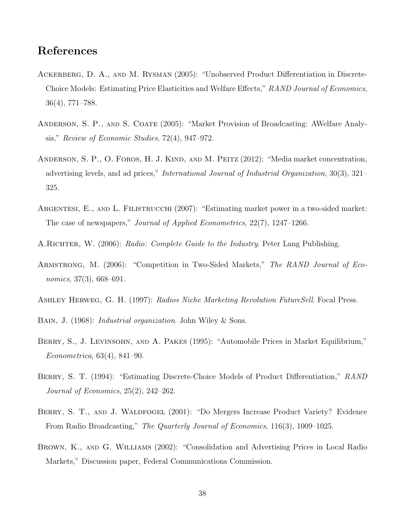## References

- Ackerberg, D. A., and M. Rysman (2005): "Unobserved Product Differentiation in Discrete-Choice Models: Estimating Price Elasticities and Welfare Effects," RAND Journal of Economics, 36(4), 771–788.
- Anderson, S. P., and S. Coate (2005): "Market Provision of Broadcasting: AWelfare Analysis," Review of Economic Studies, 72(4), 947–972.
- ANDERSON, S. P., O. FOROS, H. J. KIND, AND M. PEITZ (2012): "Media market concentration, advertising levels, and ad prices," *International Journal of Industrial Organization*, 30(3), 321– 325.
- ARGENTESI, E., AND L. FILISTRUCCHI (2007): "Estimating market power in a two-sided market: The case of newspapers," *Journal of Applied Econometrics*, 22(7), 1247–1266.
- A.RICHTER, W. (2006): Radio: Complete Guide to the Industry. Peter Lang Publishing.
- ARMSTRONG, M. (2006): "Competition in Two-Sided Markets," The RAND Journal of Economics, 37(3), 668–691.
- Ashley Herweg, G. H. (1997): Radios Niche Marketing Revolution FutureSell. Focal Press.
- BAIN, J. (1968): *Industrial organization*. John Wiley & Sons.
- BERRY, S., J. LEVINSOHN, AND A. PAKES (1995): "Automobile Prices in Market Equilibrium," Econometrica, 63(4), 841–90.
- BERRY, S. T. (1994): "Estimating Discrete-Choice Models of Product Differentiation," RAND Journal of Economics, 25(2), 242–262.
- BERRY, S. T., AND J. WALDFOGEL (2001): "Do Mergers Increase Product Variety? Evidence From Radio Broadcasting," The Quarterly Journal of Economics, 116(3), 1009–1025.
- BROWN, K., AND G. WILLIAMS (2002): "Consolidation and Advertising Prices in Local Radio Markets," Discussion paper, Federal Communications Commission.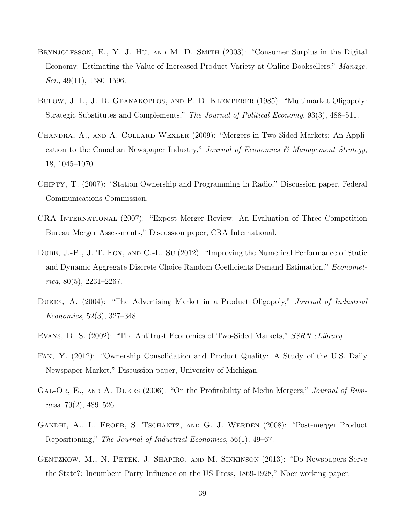- Brynjolfsson, E., Y. J. Hu, and M. D. Smith (2003): "Consumer Surplus in the Digital Economy: Estimating the Value of Increased Product Variety at Online Booksellers," Manage. Sci.,  $49(11)$ ,  $1580-1596$ .
- Bulow, J. I., J. D. Geanakoplos, and P. D. Klemperer (1985): "Multimarket Oligopoly: Strategic Substitutes and Complements," The Journal of Political Economy, 93(3), 488–511.
- Chandra, A., and A. Collard-Wexler (2009): "Mergers in Two-Sided Markets: An Application to the Canadian Newspaper Industry," Journal of Economics  $\mathcal C$  Management Strategy, 18, 1045–1070.
- Chipty, T. (2007): "Station Ownership and Programming in Radio," Discussion paper, Federal Communications Commission.
- CRA International (2007): "Expost Merger Review: An Evaluation of Three Competition Bureau Merger Assessments," Discussion paper, CRA International.
- DUBE, J.-P., J. T. FOX, AND C.-L. SU (2012): "Improving the Numerical Performance of Static and Dynamic Aggregate Discrete Choice Random Coefficients Demand Estimation," Economet $rica, 80(5), 2231-2267.$
- DUKES, A. (2004): "The Advertising Market in a Product Oligopoly," Journal of Industrial Economics, 52(3), 327–348.
- Evans, D. S. (2002): "The Antitrust Economics of Two-Sided Markets," SSRN eLibrary.
- Fan, Y. (2012): "Ownership Consolidation and Product Quality: A Study of the U.S. Daily Newspaper Market," Discussion paper, University of Michigan.
- GAL-OR, E., AND A. DUKES (2006): "On the Profitability of Media Mergers," *Journal of Busi*ness, 79(2), 489–526.
- GANDHI, A., L. FROEB, S. TSCHANTZ, AND G. J. WERDEN (2008): "Post-merger Product Repositioning," The Journal of Industrial Economics, 56(1), 49–67.
- Gentzkow, M., N. Petek, J. Shapiro, and M. Sinkinson (2013): "Do Newspapers Serve the State?: Incumbent Party Influence on the US Press, 1869-1928," Nber working paper.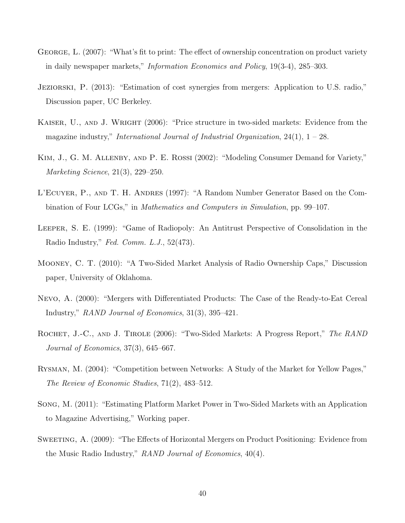- GEORGE, L. (2007): "What's fit to print: The effect of ownership concentration on product variety in daily newspaper markets," Information Economics and Policy, 19(3-4), 285–303.
- Jeziorski, P. (2013): "Estimation of cost synergies from mergers: Application to U.S. radio," Discussion paper, UC Berkeley.
- KAISER, U., AND J. WRIGHT (2006): "Price structure in two-sided markets: Evidence from the magazine industry," *International Journal of Industrial Organization*,  $24(1)$ ,  $1 - 28$ .
- Kim, J., G. M. Allenby, and P. E. Rossi (2002): "Modeling Consumer Demand for Variety," Marketing Science, 21(3), 229–250.
- L'Ecuyer, P., and T. H. Andres (1997): "A Random Number Generator Based on the Combination of Four LCGs," in Mathematics and Computers in Simulation, pp. 99–107.
- Leeper, S. E. (1999): "Game of Radiopoly: An Antitrust Perspective of Consolidation in the Radio Industry," Fed. Comm. L.J., 52(473).
- Mooney, C. T. (2010): "A Two-Sided Market Analysis of Radio Ownership Caps," Discussion paper, University of Oklahoma.
- Nevo, A. (2000): "Mergers with Differentiated Products: The Case of the Ready-to-Eat Cereal Industry," RAND Journal of Economics, 31(3), 395–421.
- ROCHET, J.-C., AND J. TIROLE (2006): "Two-Sided Markets: A Progress Report," The RAND Journal of Economics, 37(3), 645–667.
- Rysman, M. (2004): "Competition between Networks: A Study of the Market for Yellow Pages," The Review of Economic Studies, 71(2), 483–512.
- Song, M. (2011): "Estimating Platform Market Power in Two-Sided Markets with an Application to Magazine Advertising," Working paper.
- SWEETING, A. (2009): "The Effects of Horizontal Mergers on Product Positioning: Evidence from the Music Radio Industry," RAND Journal of Economics, 40(4).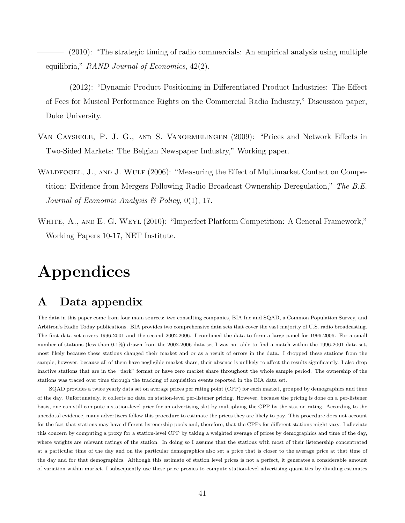$-$  (2010): "The strategic timing of radio commercials: An empirical analysis using multiple equilibria," RAND Journal of Economics, 42(2).

- (2012): "Dynamic Product Positioning in Differentiated Product Industries: The Effect of Fees for Musical Performance Rights on the Commercial Radio Industry," Discussion paper, Duke University.
- VAN CAYSEELE, P. J. G., AND S. VANORMELINGEN (2009): "Prices and Network Effects in Two-Sided Markets: The Belgian Newspaper Industry," Working paper.
- WALDFOGEL, J., AND J. WULF (2006): "Measuring the Effect of Multimarket Contact on Competition: Evidence from Mergers Following Radio Broadcast Ownership Deregulation," The B.E. Journal of Economic Analysis & Policy, 0(1), 17.
- WHITE, A., AND E. G. WEYL (2010): "Imperfect Platform Competition: A General Framework," Working Papers 10-17, NET Institute.

## Appendices

## A Data appendix

The data in this paper come from four main sources: two consulting companies, BIA Inc and SQAD, a Common Population Survey, and Arbitron's Radio Today publications. BIA provides two comprehensive data sets that cover the vast majority of U.S. radio broadcasting. The first data set covers 1996-2001 and the second 2002-2006. I combined the data to form a large panel for 1996-2006. For a small number of stations (less than 0.1%) drawn from the 2002-2006 data set I was not able to find a match within the 1996-2001 data set, most likely because these stations changed their market and or as a result of errors in the data. I dropped these stations from the sample; however, because all of them have negligible market share, their absence is unlikely to affect the results significantly. I also drop inactive stations that are in the "dark" format or have zero market share throughout the whole sample period. The ownership of the stations was traced over time through the tracking of acquisition events reported in the BIA data set.

SQAD provides a twice yearly data set on average prices per rating point (CPP) for each market, grouped by demographics and time of the day. Unfortunately, it collects no data on station-level per-listener pricing. However, because the pricing is done on a per-listener basis, one can still compute a station-level price for an advertising slot by multiplying the CPP by the station rating. According to the anecdotal evidence, many advertisers follow this procedure to estimate the prices they are likely to pay. This procedure does not account for the fact that stations may have different listenership pools and, therefore, that the CPPs for different stations might vary. I alleviate this concern by computing a proxy for a station-level CPP by taking a weighted average of prices by demographics and time of the day, where weights are relevant ratings of the station. In doing so I assume that the stations with most of their listenership concentrated at a particular time of the day and on the particular demographics also set a price that is closer to the average price at that time of the day and for that demographics. Although this estimate of station level prices is not a perfect, it generates a considerable amount of variation within market. I subsequently use these price proxies to compute station-level advertising quantities by dividing estimates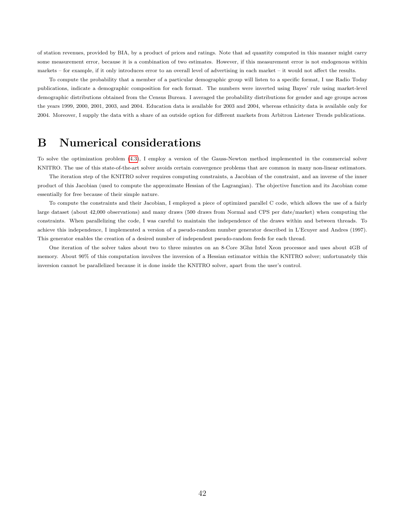of station revenues, provided by BIA, by a product of prices and ratings. Note that ad quantity computed in this manner might carry some measurement error, because it is a combination of two estimates. However, if this measurement error is not endogenous within markets – for example, if it only introduces error to an overall level of advertising in each market – it would not affect the results.

To compute the probability that a member of a particular demographic group will listen to a specific format, I use Radio Today publications, indicate a demographic composition for each format. The numbers were inverted using Bayes' rule using market-level demographic distributions obtained from the Census Bureau. I averaged the probability distributions for gender and age groups across the years 1999, 2000, 2001, 2003, and 2004. Education data is available for 2003 and 2004, whereas ethnicity data is available only for 2004. Moreover, I supply the data with a share of an outside option for different markets from Arbitron Listener Trends publications.

## B Numerical considerations

To solve the optimization problem [\(4.3\)](#page-21-0), I employ a version of the Gauss-Newton method implemented in the commercial solver KNITRO. The use of this state-of-the-art solver avoids certain convergence problems that are common in many non-linear estimators.

The iteration step of the KNITRO solver requires computing constraints, a Jacobian of the constraint, and an inverse of the inner product of this Jacobian (used to compute the approximate Hessian of the Lagrangian). The objective function and its Jacobian come essentially for free because of their simple nature.

To compute the constraints and their Jacobian, I employed a piece of optimized parallel C code, which allows the use of a fairly large dataset (about 42,000 observations) and many draws (500 draws from Normal and CPS per date/market) when computing the constraints. When parallelizing the code, I was careful to maintain the independence of the draws within and between threads. To achieve this independence, I implemented a version of a pseudo-random number generator described in L'Ecuyer and Andres (1997). This generator enables the creation of a desired number of independent pseudo-random feeds for each thread.

One iteration of the solver takes about two to three minutes on an 8-Core 3Ghz Intel Xeon processor and uses about 4GB of memory. About 90% of this computation involves the inversion of a Hessian estimator within the KNITRO solver; unfortunately this inversion cannot be parallelized because it is done inside the KNITRO solver, apart from the user's control.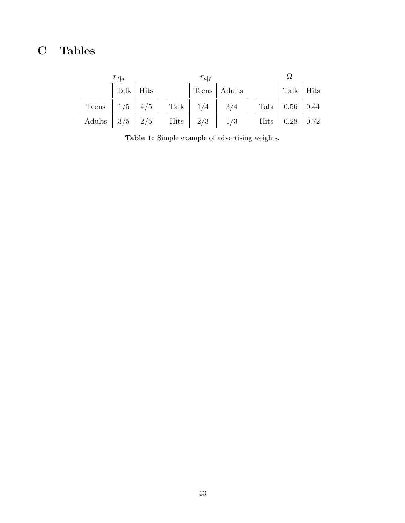## <span id="page-42-0"></span>C Tables

| $r_{f a}$                         |                                                                         | $r_{a f}$ |                                      |                                        |  |  |
|-----------------------------------|-------------------------------------------------------------------------|-----------|--------------------------------------|----------------------------------------|--|--|
| $\parallel$ Talk $\parallel$ Hits |                                                                         |           | $\parallel$ Teens $\parallel$ Adults | $\parallel$ Talk $\parallel$ Hits      |  |  |
|                                   | Teens $\  1/5 \  4/5$ Talk $\  1/4 \  3/4$                              |           |                                      | Talk $\parallel$ 0.56 $\parallel$ 0.44 |  |  |
|                                   | Adults $\parallel 3/5 \parallel 2/5$ Hits $\parallel 2/3 \parallel 1/3$ |           |                                      | Hits $\ $ 0.28 $\ $ 0.72               |  |  |

Table 1: Simple example of advertising weights.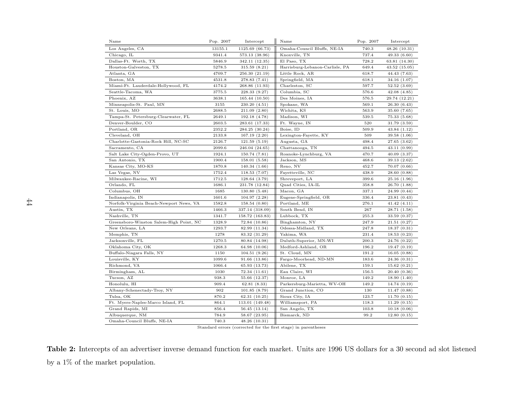<span id="page-43-0"></span>

| Name                                    | Pop. 2007 | Intercept       | Name                            | Pop. 2007 | Intercept     |
|-----------------------------------------|-----------|-----------------|---------------------------------|-----------|---------------|
| Los Angeles, CA                         | 13155.1   | 1125.69 (66.73) | Omaha-Council Bluffs, NE-IA     | 740.3     | 48.26(10.31)  |
| Chicago, IL                             | 9341.4    | 573.13 (38.96)  | Knoxville, TN                   | 737.4     | 49.33(6.60)   |
| Dallas-Ft. Worth, TX                    | 5846.9    | 342.11 (12.35)  | El Paso, TX                     | 728.2     | 63.81 (14.30) |
| Houston-Galveston, TX                   | 5278.5    | 315.59(8.21)    | Harrisburg-Lebanon-Carlisle, PA | 649.4     | 43.52(15.05)  |
| Atlanta, GA                             | 4709.7    | 256.30 (21.19)  | Little Rock, AR                 | 618.7     | 44.43 (7.63)  |
| Boston, MA                              | 4531.8    | 278.83 (7.41)   | Springfield, MA                 | 618.1     | 34.16 (1.07)  |
| Miami-Ft. Lauderdale-Hollywood, FL      | 4174.2    | 268.86 (11.93)  | Charleston, SC                  | 597.7     | 52.52(3.69)   |
| Seattle-Tacoma, WA                      | 3775.5    | 228.33(9.27)    | Columbia, SC                    | 576.6     | 42.08(4.85)   |
| Phoenix, AZ                             | 3638.1    | 165.44 (10.50)  | Des Moines, IA                  | 576.5     | 29.74 (12.21) |
| Minneapolis-St. Paul, MN                | 3155      | 230.20 (4.51)   | Spokane, WA                     | 569.1     | 26.30 (6.43)  |
| St. Louis, MO                           | 2688.5    | 211.09(2.80)    | Wichita, KS                     | 563.9     | 35.60 (7.65)  |
| Tampa-St. Petersburg-Clearwater, FL     | 2649.1    | 192.18 (4.78)   | Madison, WI                     | 539.5     | 75.33 (5.68)  |
| Denver-Boulder, CO                      | 2603.5    | 283.61 (17.33)  | Ft. Wayne, IN                   | 520       | 31.79 (3.59)  |
| Portland, OR                            | 2352.2    | 284.25 (30.24)  | Boise, ID                       | 509.9     | 43.84 (1.12)  |
| Cleveland, OH                           | 2133.8    | 167.19(2.20)    | Lexington-Fayette, KY           | 509       | 39.58 (1.06)  |
| Charlotte-Gastonia-Rock Hill, NC-SC     | 2126.7    | 121.59(5.19)    | Augusta, GA                     | 498.4     | 27.65 (3.62)  |
| Sacramento, CA                          | 2099.6    | 246.04 (24.65)  | Chattanooga, TN                 | 494.5     | 43.11 (0.99)  |
| Salt Lake City-Ogden-Provo, UT          | 1924.1    | 150.74 (7.81)   | Roanoke-Lynchburg, VA           | 470.7     | 40.09(3.37)   |
| San Antonio, TX                         | 1900.4    | 158.01(5.58)    | Jackson, MS                     | 468.6     | 39.13 (2.62)  |
| Kansas City, MO-KS                      | 1870.8    | 140.34 (1.66)   | Reno, NV                        | 452.7     | 70.07 (0.66)  |
| Las Vegas, NV                           | 1752.4    | 118.53(7.07)    | Fayetteville, NC                | 438.9     | 28.60 (0.88)  |
| Milwaukee-Racine, WI                    | 1712.5    | 128.64 (3.79)   | Shreveport, LA                  | 399.6     | 25.16(1.96)   |
| Orlando, FL                             | 1686.1    | 231.78 (12.84)  | Quad Cities, IA-IL              | 358.8     | 26.70(1.88)   |
| Columbus, OH                            | 1685      | 130.80(5.48)    | Macon, GA                       | 337.1     | 24.99 (0.44)  |
| Indianapolis, IN                        | 1601.6    | 104.97(2.28)    | Eugene-Springfield, OR          | 336.4     | 23.81 (0.43)  |
| Norfolk-Virginia Beach-Newport News, VA | 1582.8    | 158.54(0.80)    | Portland, ME                    | 276.1     | 41.42(4.11)   |
| Austin, TX                              | 1466.3    | 337.14 (318.09) | South Bend, IN                  | 267       | 28.71 (1.58)  |
| Nashville, TN                           | 1341.7    | 158.72 (163.83) | Lubbock, TX                     | 255.3     | 33.59 (0.37)  |
| Greensboro-Winston Salem-High Point, NC | 1328.9    | 72.84 (10.86)   | Binghamton, NY                  | 247.9     | 21.51(0.27)   |
| New Orleans, LA                         | 1293.7    | 82.99 (11.34)   | Odessa-Midland, TX              | 247.8     | 18.37(0.31)   |
| Memphis, TN                             | 1278      | 83.32 (31.29)   | Yakima, WA                      | 231.4     | 18.53(0.23)   |
| Jacksonville, FL                        | 1270.5    | 80.84 (14.98)   | Duluth-Superior, MN-WI          | 200.3     | 24.76 (0.22)  |
| Oklahoma City, OK                       | 1268.3    | 64.98 (10.06)   | Medford-Ashland, OR             | 196.2     | 19.47(0.19)   |
| Buffalo-Niagara Falls, NY               | 1150      | 104.51(9.26)    | St. Cloud, MN                   | 191.2     | 16.05(0.88)   |
| Louisville, KY                          | 1099.6    | 91.66 (13.86)   | Fargo-Moorhead, ND-MN           | 183.6     | 24.36(0.31)   |
| Richmond, VA                            | 1066.4    | 65.93 (13.73)   | Abilene, TX                     | 159.1     | 15.62(0.21)   |
| Birmingham, AL                          | 1030      | 72.34 (11.61)   | Eau Claire, WI                  | 156.5     | 20.40(0.36)   |
| Tucson, AZ                              | 938.3     | 55.66 (12.37)   | Monroe, LA                      | 149.2     | 18.90(1.40)   |
| Honolulu, HI                            | 909.4     | 62.81(8.33)     | Parkersburg-Marietta, WV-OH     | 149.2     | 14.74(0.19)   |
| Albany-Schenectady-Troy, NY             | 902       | 101.85(8.79)    | Grand Junction, CO              | 130       | 11.47(0.88)   |
| Tulsa, OK                               | 870.2     | 62.31 (10.25)   | Sioux City, IA                  | 123.7     | 11.70(0.15)   |
| Ft. Myers-Naples-Marco Island, FL       | 864.1     | 113.01 (149.48) | Williamsport, PA                | 118.3     | 11.29(0.15)   |
| Grand Rapids, MI                        | 856.4     | 56.45 (13.14)   | San Angelo, TX                  | 103.8     | 10.18(0.06)   |
| Albuquerque, NM                         | 784.9     | 58.67 (23.95)   | Bismarck, ND                    | 99.2      | 12.80(0.15)   |
| Omaha-Council Bluffs, NE-IA             | 740.3     | 48.26(10.31)    |                                 |           |               |

Standard errors (corrected for the first stage) in parentheses

Table 2: Intercepts of an advertiser inverse demand function for each market. Units are <sup>1996</sup> US dollars for <sup>a</sup> <sup>30</sup> second ad slot listenedby <sup>a</sup> 1% of the market population.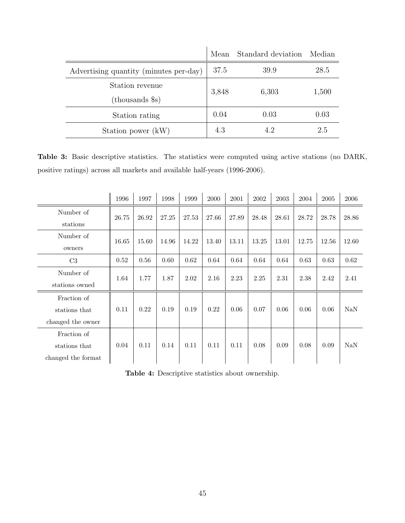<span id="page-44-0"></span>

|                                        | Mean  | Standard deviation | Median |
|----------------------------------------|-------|--------------------|--------|
| Advertising quantity (minutes per-day) | 37.5  | 39.9               | 28.5   |
| Station revenue                        | 3,848 | 6,303              | 1,500  |
| $(\text{thousands }$ \$s $)$           |       |                    |        |
| Station rating                         | 0.04  | 0.03               | 0.03   |
| Station power (kW)                     | 4.3   | 4.2                | 2.5    |

Table 3: Basic descriptive statistics. The statistics were computed using active stations (no DARK, positive ratings) across all markets and available half-years (1996-2006).

<span id="page-44-1"></span>

|                                                    | 1996  | 1997  | 1998  | 1999  | 2000  | 2001  | 2002  | 2003  | 2004  | 2005  | 2006       |
|----------------------------------------------------|-------|-------|-------|-------|-------|-------|-------|-------|-------|-------|------------|
| Number of<br>stations                              | 26.75 | 26.92 | 27.25 | 27.53 | 27.66 | 27.89 | 28.48 | 28.61 | 28.72 | 28.78 | 28.86      |
| Number of<br>owners                                | 16.65 | 15.60 | 14.96 | 14.22 | 13.40 | 13.11 | 13.25 | 13.01 | 12.75 | 12.56 | 12.60      |
| C3                                                 | 0.52  | 0.56  | 0.60  | 0.62  | 0.64  | 0.64  | 0.64  | 0.64  | 0.63  | 0.63  | 0.62       |
| Number of<br>stations owned                        | 1.64  | 1.77  | 1.87  | 2.02  | 2.16  | 2.23  | 2.25  | 2.31  | 2.38  | 2.42  | 2.41       |
| Fraction of<br>stations that<br>changed the owner  | 0.11  | 0.22  | 0.19  | 0.19  | 0.22  | 0.06  | 0.07  | 0.06  | 0.06  | 0.06  | <b>NaN</b> |
| Fraction of<br>stations that<br>changed the format | 0.04  | 0.11  | 0.14  | 0.11  | 0.11  | 0.11  | 0.08  | 0.09  | 0.08  | 0.09  | <b>NaN</b> |

Table 4: Descriptive statistics about ownership.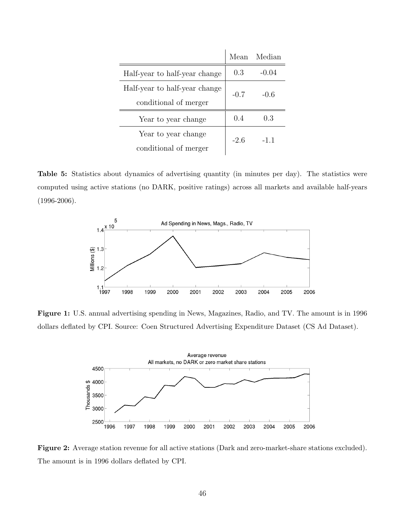<span id="page-45-0"></span>

|                               | Mean   | Median  |
|-------------------------------|--------|---------|
| Half-year to half-year change | 0.3    | $-0.04$ |
| Half-year to half-year change | $-0.7$ | -0.6    |
| conditional of merger         |        |         |
| Year to year change           | 0.4    | 0.3     |
| Year to year change           | $-2.6$ | $-1.1$  |
| conditional of merger         |        |         |

<span id="page-45-1"></span>Table 5: Statistics about dynamics of advertising quantity (in minutes per day). The statistics were computed using active stations (no DARK, positive ratings) across all markets and available half-years  $(1996-2006)$ .



<span id="page-45-2"></span>Figure 1: U.S. annual advertising spending in News, Magazines, Radio, and TV. The amount is in 1996 dollars deflated by CPI. Source: Coen Structured Advertising Expenditure Dataset (CS Ad Dataset).



Figure 2: Average station revenue for all active stations (Dark and zero-market-share stations excluded). The amount is in 1996 dollars deflated by CPI.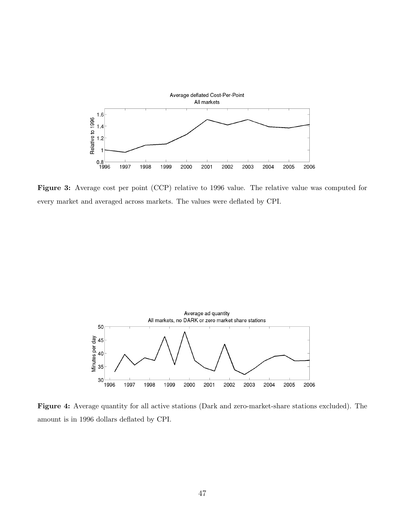<span id="page-46-0"></span>

Figure 3: Average cost per point (CCP) relative to 1996 value. The relative value was computed for every market and averaged across markets. The values were deflated by CPI.

<span id="page-46-1"></span>

Figure 4: Average quantity for all active stations (Dark and zero-market-share stations excluded). The amount is in 1996 dollars deflated by CPI.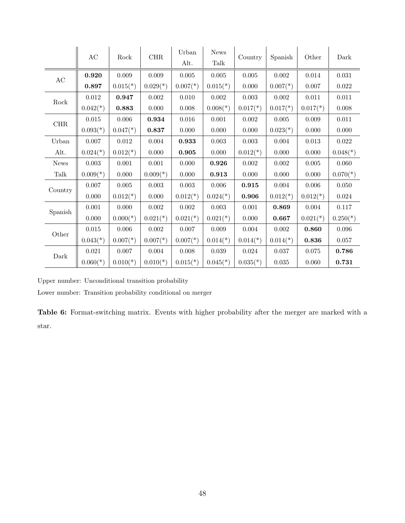<span id="page-47-0"></span>

|             | $\rm AC$                 | Rock                     | CHR                      | Urban                    | News                     | Country                  | Spanish                  | Other                  | Dark                     |
|-------------|--------------------------|--------------------------|--------------------------|--------------------------|--------------------------|--------------------------|--------------------------|------------------------|--------------------------|
|             |                          |                          |                          | Alt.                     | Talk                     |                          |                          |                        |                          |
| AC          | 0.920                    | 0.009                    | $0.009\,$                | $0.005\,$                | $0.005\,$                | $0.005\,$                | 0.002                    | $0.014\,$              | $\,0.031\,$              |
|             | 0.897                    | $0.015(*)$               | $0.029(*)$               | $0.007$ <sup>(*)</sup> ) | $0.015$ <sup>*</sup> )   | $0.000\,$                | $0.007$ <sup>(*)</sup> ) | 0.007                  | $\,0.022\,$              |
| Rock        | $0.012\,$                | 0.947                    | 0.002                    | $0.010\,$                | $0.002\,$                | $0.003\,$                | $0.002\,$                | 0.011                  | $0.011\,$                |
|             | $0.042(*)$               | 0.883                    | 0.000                    | $0.008\,$                | $0.008$ <sup>(*)</sup> ) | $0.017$ <sup>*</sup> )   | $0.017$ <sup>*</sup> )   | $0.017$ <sup>*</sup> ) | 0.008                    |
| $\rm CHR$   | $0.015\,$                | 0.006                    | 0.934                    | 0.016                    | 0.001                    | 0.002                    | 0.005                    | 0.009                  | $0.011\,$                |
|             | $0.093(*)$               | $0.047$ <sup>*</sup> )   | 0.837                    | 0.000                    | 0.000                    | 0.000                    | $0.023(*)$               | 0.000                  | 0.000                    |
| Urban       | 0.007                    | $0.012\,$                | $0.004\,$                | 0.933                    | $0.003\,$                | $0.003\,$                | 0.004                    | $0.013\,$              | $\,0.022\,$              |
| Alt.        | $0.024$ <sup>(*)</sup> ) | $0.012(*)$               | 0.000                    | 0.905                    | $0.000\,$                | $0.012(*)$               | 0.000                    | $0.000\,$              | $0.048$ <sup>(*)</sup> ) |
| <b>News</b> | $\,0.003\,$              | 0.001                    | $0.001\,$                | 0.000                    | 0.926                    | $0.002\,$                | $0.002\,$                | $0.005\,$              | 0.060                    |
| Talk        | $0.009(*)$               | 0.000                    | $0.009(*)$               | $0.000\,$                | 0.913                    | 0.000                    | 0.000                    | 0.000                  | $0.070(*)$               |
| Country     | 0.007                    | $0.005\,$                | $0.003\,$                | $0.003\,$                | $0.006\,$                | 0.915                    | 0.004                    | $0.006\,$              | 0.050                    |
|             | $0.000\,$                | $0.012(*)$               | 0.000                    | $0.012(*)$               | $0.024$ <sup>(*)</sup> ) | 0.906                    | $0.012(*)$               | $0.012(*)$             | $\,0.024\,$              |
| Spanish     | $0.001\,$                | 0.000                    | $0.002\,$                | $0.002\,$                | $0.003\,$                | 0.001                    | 0.869                    | 0.004                  | 0.117                    |
|             | 0.000                    | $0.000(*)$               | $0.021$ <sup>(*)</sup> ) | $0.021$ <sup>(*)</sup> ) | $0.021$ <sup>(*)</sup> ) | 0.000                    | 0.667                    | $0.021$ <sup>*</sup> ) | $0.250(*)$               |
| Other       | $\,0.015\,$              | 0.006                    | 0.002                    | 0.007                    | $0.009\,$                | 0.004                    | 0.002                    | 0.860                  | $\,0.096\,$              |
|             | $0.043$ <sup>(*)</sup> ) | $0.007$ <sup>(*)</sup> ) | $0.007$ <sup>(*)</sup> ) | $0.007$ <sup>(*)</sup> ) | $0.014$ <sup>(*)</sup> ) | $0.014$ <sup>(*)</sup> ) | $0.014(*)$               | 0.836                  | 0.057                    |
| Dark        | $\,0.021\,$              | 0.007                    | 0.004                    | 0.008                    | $0.039\,$                | 0.024                    | $0.037\,$                | 0.075                  | 0.786                    |
|             | $0.060(*)$               | $0.010(*)$               | $0.010(*)$               | $0.015$ <sup>*</sup> )   | $0.045$ <sup>*</sup> )   | $0.035$ <sup>(*)</sup> ) | 0.035                    | 0.060                  | 0.731                    |

Upper number: Unconditional transition probability

Lower number: Transition probability conditional on merger

Table 6: Format-switching matrix. Events with higher probability after the merger are marked with a star.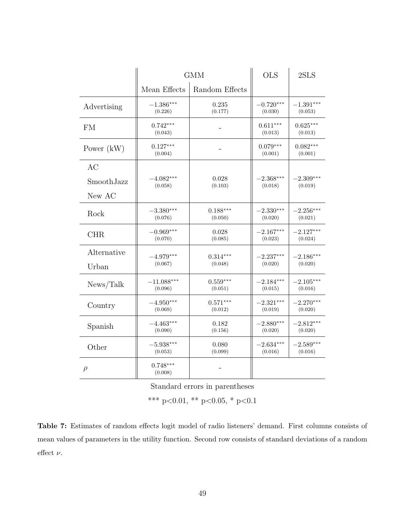<span id="page-48-0"></span>

|              |                         | <b>GMM</b>            | <b>OLS</b>             | 2SLS                   |
|--------------|-------------------------|-----------------------|------------------------|------------------------|
|              | Mean Effects            | Random Effects        |                        |                        |
| Advertising  | $-1.386***$<br>(0.226)  | 0.235<br>(0.177)      | $-0.720***$<br>(0.030) | $-1.391***$<br>(0.053) |
| FM           | $0.742***$<br>(0.043)   |                       | $0.611***$<br>(0.013)  | $0.625***$<br>(0.013)  |
| Power $(kW)$ | $0.127***$<br>(0.004)   |                       | $0.079***$<br>(0.001)  | $0.082***$<br>(0.001)  |
| AC           |                         |                       |                        |                        |
| SmoothJazz   | $-4.082***$<br>(0.058)  | 0.028<br>(0.103)      | $-2.368***$<br>(0.018) | $-2.309***$<br>(0.019) |
| New AC       |                         |                       |                        |                        |
| Rock         | $-3.380***$<br>(0.076)  | $0.188***$<br>(0.050) | $-2.330***$<br>(0.020) | $-2.256***$<br>(0.021) |
| <b>CHR</b>   | $-0.969***$<br>(0.070)  | 0.028<br>(0.085)      | $-2.167***$<br>(0.023) | $-2.127***$<br>(0.024) |
| Alternative  | $-4.979***$             | $0.314***$            | $-2.237***$            | $-2.186***$            |
| Urban        | (0.067)                 | (0.048)               | (0.020)                | (0.020)                |
| News/Talk    | $-11.088***$<br>(0.096) | $0.559***$<br>(0.051) | $-2.184***$<br>(0.015) | $-2.105***$<br>(0.016) |
| Country      | $-4.950***$<br>(0.069)  | $0.571***$<br>(0.012) | $-2.321***$<br>(0.019) | $-2.270***$<br>(0.020) |
| Spanish      | $-4.463***$<br>(0.090)  | 0.182<br>(0.156)      | $-2.880***$<br>(0.020) | $-2.812***$<br>(0.020) |
| Other        | $-5.938***$<br>(0.053)  | 0.080<br>(0.099)      | $-2.634***$<br>(0.016) | $-2.589***$<br>(0.016) |
| $\rho$       | $0.748***$<br>(0.008)   |                       |                        |                        |

Standard errors in parentheses

\*\*\* p<0.01, \*\* p<0.05, \* p<0.1

Table 7: Estimates of random effects logit model of radio listeners' demand. First columns consists of mean values of parameters in the utility function. Second row consists of standard deviations of a random effect  $\nu.$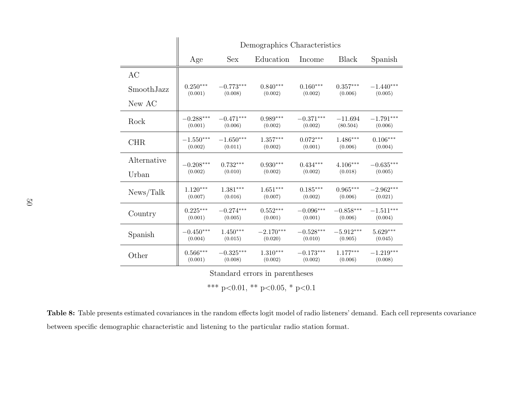<span id="page-49-0"></span>

|             |                         |             | Demographics Characteristics |             |                         |             |
|-------------|-------------------------|-------------|------------------------------|-------------|-------------------------|-------------|
|             | Age                     | Sex         | Education                    | Income      | Black                   | Spanish     |
| AC          |                         |             |                              |             |                         |             |
| SmoothJazz  | $0.250***$              | $-0.773***$ | $0.840***$                   | $0.160***$  | $0.357***$              | $-1.440***$ |
|             | (0.001)                 | (0.008)     | (0.002)                      | (0.002)     | (0.006)                 | (0.005)     |
| New AC      |                         |             |                              |             |                         |             |
| Rock        | $-0.288***$             | $-0.471***$ | $0.989***$                   | $-0.371***$ | $-11.694$               | $-1.791***$ |
|             | (0.001)                 | (0.006)     | (0.002)                      | (0.002)     | (80.504)                | (0.006)     |
| <b>CHR</b>  | $-1.550^{***}\,$        | $-1.650***$ | $1.357***$                   | $0.072***$  | $1.486***$              | $0.106***$  |
|             | (0.002)                 | (0.011)     | (0.002)                      | (0.001)     | (0.006)                 | (0.004)     |
| Alternative | $-0.208***$             | $0.732***$  | $0.930***$                   | $0.434***$  | $4.106***$              | $-0.635***$ |
| Urban       | (0.002)                 | (0.010)     | (0.002)                      | (0.002)     | (0.018)                 | (0.005)     |
| News/Talk   | $1.120***$              | $1.381***$  | $1.651***$                   | $0.185***$  | $0.965***$              | $-2.962***$ |
|             | (0.007)                 | (0.016)     | (0.007)                      | (0.002)     | (0.006)                 | (0.021)     |
| Country     | $0.225***$              | $-0.274***$ | $0.552***$                   | $-0.096***$ | $-0.858^{\ast\ast\ast}$ | $-1.511***$ |
|             | (0.001)                 | (0.005)     | (0.001)                      | (0.001)     | (0.006)                 | (0.004)     |
| Spanish     | $-0.450^{\ast\ast\ast}$ | $1.450***$  | $-2.170***$                  | $-0.528***$ | $-5.912***$             | $5.629***$  |
|             | (0.004)                 | (0.015)     | (0.020)                      | (0.010)     | (0.905)                 | (0.045)     |
| Other       | $0.566^{\ast\ast\ast}$  | $-0.325***$ | $1.310***$                   | $-0.173***$ | $1.177***$              | $-1.219***$ |
|             | (0.001)                 | (0.008)     | (0.002)                      | (0.002)     | (0.006)                 | (0.008)     |

Standard errors in parentheses

\*\*\* p<0.01, \*\* p<0.05, \* p<0.1

Table 8: Table presents estimated covariances in the random effects logit model of radio listeners' demand. Each cell represents covariancebetween specific demographic characteristic and listening to the particular radio station format.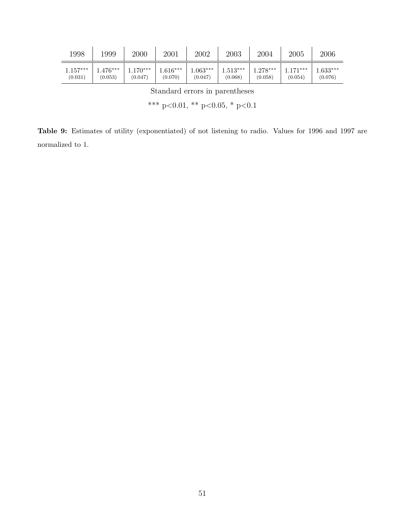<span id="page-50-0"></span>

| 1998       | 1999       | 2000       | 2001       | 2002       | 2003       | 2004      | 2005     | 2006       |
|------------|------------|------------|------------|------------|------------|-----------|----------|------------|
| $1.157***$ | $0.476***$ | $1.170***$ | $4.616***$ | $0.063***$ | $1.513***$ | $.278***$ | $171***$ | $4.633***$ |
| (0.031)    | (0.053)    | (0.047)    | (0.070)    | (0.047)    | (0.068)    | (0.058)   | (0.054)  | (0.076)    |

Standard errors in parentheses

\*\*\* p<0.01, \*\* p<0.05, \* p<0.1

Table 9: Estimates of utility (exponentiated) of not listening to radio. Values for 1996 and 1997 are normalized to 1.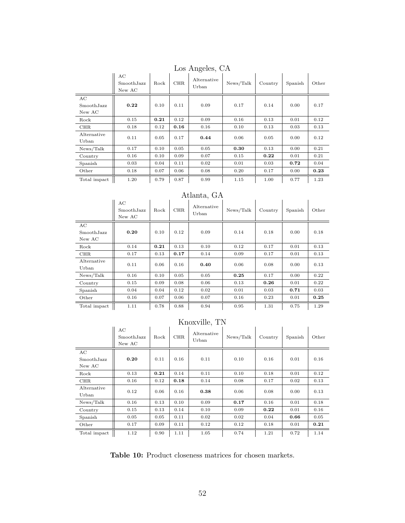<span id="page-51-0"></span>

|                            | AC<br>SmoothJazz<br>New AC | Rock | <b>CHR</b> | Alternative<br>Urban | News/Talk | Country | Spanish | Other |
|----------------------------|----------------------------|------|------------|----------------------|-----------|---------|---------|-------|
| AC<br>SmoothJazz<br>New AC | 0.22                       | 0.10 | 0.11       | 0.09                 | 0.17      | 0.14    | 0.00    | 0.17  |
| Rock                       | 0.15                       | 0.21 | 0.12       | 0.09                 | 0.16      | 0.13    | 0.01    | 0.12  |
| <b>CHR</b>                 | 0.18                       | 0.12 | 0.16       | 0.16                 | 0.10      | 0.13    | 0.03    | 0.13  |
| Alternative<br>Urban       | 0.11                       | 0.05 | 0.17       | 0.44                 | 0.06      | 0.05    | 0.00    | 0.12  |
| News/Talk                  | 0.17                       | 0.10 | 0.05       | 0.05                 | 0.30      | 0.13    | 0.00    | 0.21  |
| Country                    | 0.16                       | 0.10 | 0.09       | 0.07                 | 0.15      | 0.22    | 0.01    | 0.21  |
| Spanish                    | 0.03                       | 0.04 | 0.11       | 0.02                 | 0.01      | 0.03    | 0.72    | 0.04  |
| Other                      | 0.18                       | 0.07 | 0.06       | 0.08                 | 0.20      | 0.17    | 0.00    | 0.23  |
| Total impact               | 1.20                       | 0.79 | 0.87       | 0.99                 | 1.15      | 1.00    | 0.77    | 1.23  |

Los Angeles, CA

#### Atlanta, GA

|                      | AC<br>SmoothJazz<br>New AC | Rock | <b>CHR</b> | Alternative<br>Urban | News/Talk | Country | Spanish | Other |
|----------------------|----------------------------|------|------------|----------------------|-----------|---------|---------|-------|
| AC<br>SmoothJazz     | 0.20                       | 0.10 | 0.12       | 0.09                 | 0.14      | 0.18    | 0.00    | 0.18  |
| New AC               |                            |      |            |                      |           |         |         |       |
| Rock                 | 0.14                       | 0.21 | 0.13       | 0.10                 | 0.12      | 0.17    | 0.01    | 0.13  |
| <b>CHR</b>           | 0.17                       | 0.13 | 0.17       | 0.14                 | 0.09      | 0.17    | 0.01    | 0.13  |
| Alternative<br>Urban | 0.11                       | 0.06 | 0.16       | 0.40                 | 0.06      | 0.08    | 0.00    | 0.13  |
| News/Talk            | 0.16                       | 0.10 | 0.05       | 0.05                 | 0.25      | 0.17    | 0.00    | 0.22  |
| Country              | 0.15                       | 0.09 | 0.08       | 0.06                 | 0.13      | 0.26    | 0.01    | 0.22  |
| Spanish              | 0.04                       | 0.04 | 0.12       | 0.02                 | 0.01      | 0.03    | 0.71    | 0.03  |
| Other                | 0.16                       | 0.07 | 0.06       | 0.07                 | 0.16      | 0.23    | 0.01    | 0.25  |
| Total impact         | 1.11                       | 0.78 | 0.88       | 0.94                 | 0.95      | 1.31    | 0.75    | 1.29  |

### Knoxville, TN

|                            | AC<br>SmoothJazz<br>New AC | Rock | <b>CHR</b> | Alternative<br>Urban | News/Talk | Country | Spanish | Other |
|----------------------------|----------------------------|------|------------|----------------------|-----------|---------|---------|-------|
| AC<br>SmoothJazz<br>New AC | 0.20                       | 0.11 | 0.16       | 0.11                 | 0.10      | 0.16    | 0.01    | 0.16  |
| Rock                       | 0.13                       | 0.21 | 0.14       | 0.11                 | 0.10      | 0.18    | 0.01    | 0.12  |
| <b>CHR</b>                 | 0.16                       | 0.12 | 0.18       | 0.14                 | 0.08      | 0.17    | 0.02    | 0.13  |
| Alternative<br>Urban       | 0.12                       | 0.06 | 0.16       | 0.38                 | 0.06      | 0.08    | 0.00    | 0.13  |
| News/Talk                  | 0.16                       | 0.13 | 0.10       | 0.09                 | 0.17      | 0.16    | 0.01    | 0.18  |
| Country                    | 0.15                       | 0.13 | 0.14       | 0.10                 | 0.09      | 0.22    | 0.01    | 0.16  |
| Spanish                    | 0.05                       | 0.05 | 0.11       | 0.02                 | 0.02      | 0.04    | 0.66    | 0.05  |
| Other                      | 0.17                       | 0.09 | 0.11       | 0.12                 | 0.12      | 0.18    | 0.01    | 0.21  |
| Total impact               | 1.12                       | 0.90 | 1.11       | 1.05                 | 0.74      | 1.21    | 0.72    | 1.14  |

Table 10: Product closeness matrices for chosen markets.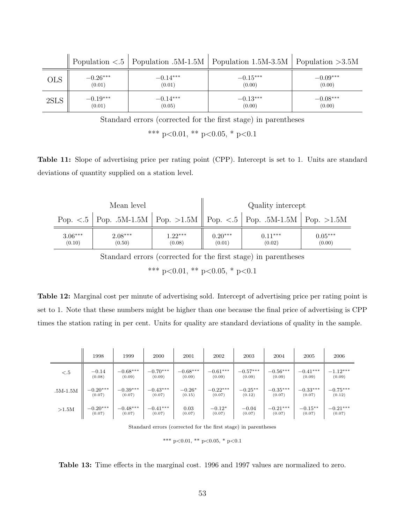<span id="page-52-0"></span>

|            |            |            | Population $\langle 0.5 \rangle$ Population $0.5M - 1.5M$ Population $1.5M - 3.5M$ Population $>3.5M$ |            |
|------------|------------|------------|-------------------------------------------------------------------------------------------------------|------------|
| <b>OLS</b> | $-0.26***$ | $-0.14***$ | $-0.15***$                                                                                            | $-0.09***$ |
|            | (0.01)     | (0.01)     | (0.00)                                                                                                | (0.00)     |
| 2SLS       | $-0.19***$ | $-0.14***$ | $-0.13***$                                                                                            | $-0.08***$ |
|            | (0.01)     | (0.05)     | (0.00)                                                                                                | (0.00)     |

Standard errors (corrected for the first stage) in parentheses

\*\*\* p<0.01, \*\* p<0.05, \* p<0.1

Table 11: Slope of advertising price per rating point (CPP). Intercept is set to 1. Units are standard deviations of quantity supplied on a station level.

<span id="page-52-1"></span>

|                     | Mean level                                                                                          |                     | Quality intercept   |                     |                     |  |  |
|---------------------|-----------------------------------------------------------------------------------------------------|---------------------|---------------------|---------------------|---------------------|--|--|
|                     | Pop. $\lt 0.5$   Pop. $0.5M-1.5M$   Pop. $>1.5M$   Pop. $\lt 0.5$   Pop. $0.5M-1.5M$   Pop. $>1.5M$ |                     |                     |                     |                     |  |  |
| $3.06***$<br>(0.10) | $2.08***$<br>(0.50)                                                                                 | $1.22***$<br>(0.08) | $0.20***$<br>(0.01) | $0.11***$<br>(0.02) | $0.05***$<br>(0.00) |  |  |

Standard errors (corrected for the first stage) in parentheses

\*\*\* p<0.01, \*\* p<0.05, \* p<0.1

Table 12: Marginal cost per minute of advertising sold. Intercept of advertising price per rating point is set to 1. Note that these numbers might be higher than one because the final price of advertising is CPP times the station rating in per cent. Units for quality are standard deviations of quality in the sample.

<span id="page-52-2"></span>

|            | 1998       | 1999       | 2000       | 2001       | 2002       | 2003       | 2004       | 2005       | 2006       |
|------------|------------|------------|------------|------------|------------|------------|------------|------------|------------|
| $\lt.5$    | $-0.14$    | $-0.68***$ | $-0.70***$ | $-0.68***$ | $-0.61***$ | $-0.57***$ | $-0.56***$ | $-0.41***$ | $-1.12***$ |
|            | (0.08)     | (0.09)     | (0.09)     | (0.09)     | (0.09)     | (0.09)     | (0.09)     | (0.09)     | (0.09)     |
| $.5M-1.5M$ | $-0.20***$ | $-0.39***$ | $-0.43***$ | $-0.26*$   | $-0.22***$ | $-0.25***$ | $-0.35***$ | $-0.33***$ | $-0.75***$ |
|            | (0.07)     | (0.07)     | (0.07)     | (0.15)     | (0.07)     | (0.12)     | (0.07)     | (0.07)     | (0.12)     |
| >1.5M      | $-0.20***$ | $-0.48***$ | $-0.41***$ | 0.03       | $-0.12*$   | $-0.04$    | $-0.21***$ | $-0.15***$ | $-0.21***$ |
|            | (0.07)     | (0.07)     | (0.07)     | (0.07)     | (0.07)     | (0.07)     | (0.07)     | (0.07)     | (0.07)     |

Standard errors (corrected for the first stage) in parentheses

```
*** p<0.01, ** p<0.05, * p<0.1
```
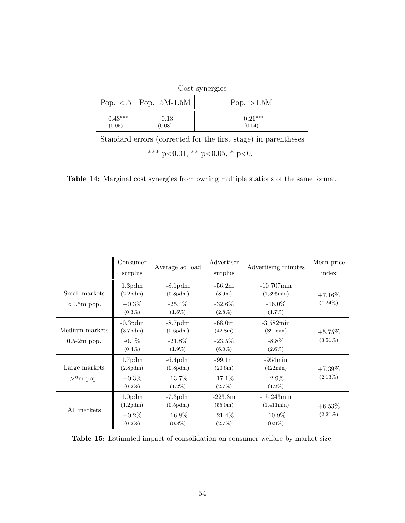Cost synergies

<span id="page-53-0"></span>

|            | Pop. $< 5 \mid$ Pop. $.5M-1.5M$ | Pop. $>1.5M$ |
|------------|---------------------------------|--------------|
| $-0.43***$ | $-0.13$                         | $-0.21***$   |
| (0.05)     | (0.08)                          | (0.04)       |

Standard errors (corrected for the first stage) in parentheses

\*\*\* p<0.01, \*\* p<0.05, \* p<0.1



<span id="page-53-1"></span>

|                | Consumer<br>surplus                         | Average ad load                     | Advertiser<br>surplus  | Advertising minutes                       | Mean price<br>index |
|----------------|---------------------------------------------|-------------------------------------|------------------------|-------------------------------------------|---------------------|
| Small markets  | 1.3 <sub>pdm</sub><br>(2.2 <sub>pdm</sub> ) | $-8.1pdm$<br>(0.8 <sub>pdm</sub> )  | $-56.2m$<br>(8.9m)     | $-10,707$ min<br>(1,395min)               | $+7.16\%$           |
| $< 0.5m$ pop.  | $+0.3\%$<br>$(0.3\%)$                       | $-25.4\%$<br>$(1.6\%)$              | $-32.6\%$<br>$(2.8\%)$ | $-16.0\%$<br>$(1.7\%)$                    | $(1.24\%)$          |
| Medium markets | $-0.3$ pdm<br>(3.7 <sub>pdm</sub> )         | $-8.7$ pdm<br>(0.6 <sub>p</sub> dm) | $-68.0m$<br>(42.8m)    | $-3.582\mathrm{min}$<br>$(891\text{min})$ | $+5.75%$            |
| $0.5-2m$ pop.  | $-0.1\%$<br>$(0.4\%)$                       | $-21.8\%$<br>$(1.9\%)$              | $-23.5\%$<br>$(6.0\%)$ | $-8.8\%$<br>$(2.6\%)$                     | $(3.51\%)$          |
| Large markets  | 1.7 <sub>pdm</sub><br>(2.8 <sub>pdm</sub> ) | $-6.4$ pdm<br>(0.8 <sub>p</sub> dm) | $-99.1m$<br>(20.6m)    | $-954\text{min}$<br>$(422\text{min})$     | $+7.39\%$           |
| $>2m$ pop.     | $+0.3\%$<br>$(0.2\%)$                       | $-13.7\%$<br>$(1.2\%)$              | $-17.1\%$<br>$(2.7\%)$ | $-2.9\%$<br>$(1.2\%)$                     | $(2.13\%)$          |
| All markets    | 1.0 <sub>pdm</sub><br>(1.2 <sub>pdm</sub> ) | $-7.3$ pdm<br>(0.5 <sub>p</sub> dm) | $-223.3m$<br>(55.0m)   | $-15,243$ min<br>(1,411min)               | $+6.53\%$           |
|                | $+0.2\%$<br>$(0.2\%)$                       | $-16.8\%$<br>$(0.8\%)$              | $-21.4\%$<br>$(2.7\%)$ | $-10.9\%$<br>$(0.9\%)$                    | $(2.21\%)$          |

Table 15: Estimated impact of consolidation on consumer welfare by market size.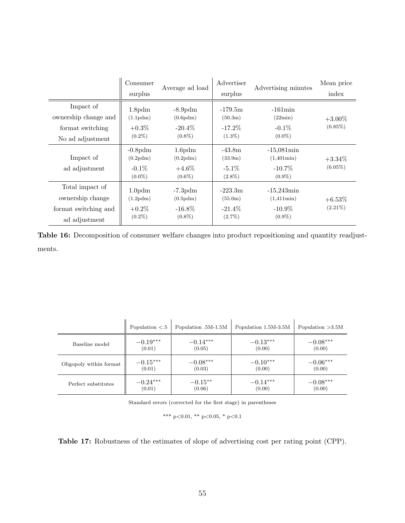<span id="page-54-0"></span>

|                                                       | Consumer<br>surplus                                      | Average ad load                                  | Advertiser<br>surplus             | Advertising minutes                     | Mean price<br>index     |
|-------------------------------------------------------|----------------------------------------------------------|--------------------------------------------------|-----------------------------------|-----------------------------------------|-------------------------|
| Impact of<br>ownership change and<br>format switching | 1.8 <sub>p</sub> dm<br>(1.1 <sub>pdm</sub> )<br>$+0.3\%$ | $-8.9$ pdm<br>(0.6 <sub>p</sub> dm)<br>$-20.4\%$ | $-179.5m$<br>(50.3m)<br>$-17.2\%$ | $-161\text{min}$<br>(22min)<br>$-0.1\%$ | $+3.00\%$<br>$(0.85\%)$ |
| No ad adjustment                                      | $(0.2\%)$                                                | $(0.8\%)$                                        | $(1.3\%)$                         | $(0.0\%)$                               |                         |
| Impact of                                             | $-0.8$ pdm<br>(0.2 <sub>pdm</sub> )                      | 1.6 <sub>p</sub> dm<br>$(0.2 \text{pdm})$        | -43.8m<br>(33.9m)                 | $-15.081\text{min}$<br>(1,401min)       | $+3.34\%$               |
| ad adjustment                                         | $-0.1\%$<br>$(0.0\%)$                                    | $+4.6\%$<br>$(0.6\%)$                            | $-5.1\%$<br>$(2.8\%)$             | $-10.7\%$<br>$(0.9\%)$                  | $(6.05\%)$              |
| Total impact of<br>ownership change                   | 1.0 <sub>p</sub> dm<br>(1.2 <sub>pdm</sub> )             | $-7.3$ pdm<br>$(0.5 \text{pdm})$                 | $-223.3m$<br>(55.0m)              | $-15,243$ min<br>(1,411min)             | $+6.53\%$               |
| format switching and<br>ad adjustment                 | $+0.2\%$<br>$(0.2\%)$                                    | $-16.8\%$<br>$(0.8\%)$                           | $-21.4\%$<br>$(2.7\%)$            | $-10.9\%$<br>$(0.9\%)$                  | $(2.21\%)$              |

Table 16: Decomposition of consumer welfare changes into product repositioning and quantity readjustments.

<span id="page-54-1"></span>

|                         | Population $< 5$ | Population .5M-1.5M | Population 1.5M-3.5M | Population $>3.5M$ |
|-------------------------|------------------|---------------------|----------------------|--------------------|
| Baseline model          | $-0.19***$       | $-0.14***$          | $-0.13***$           | $-0.08***$         |
|                         | (0.01)           | (0.05)              | (0.00)               | (0.00)             |
| Oligopoly within format | $-0.15***$       | $-0.08***$          | $-0.10***$           | $-0.06***$         |
|                         | (0.01)           | (0.03)              | (0.00)               | (0.00)             |
| Perfect substitutes     | $-0.24***$       | $-0.15**$           | $-0.14***$           | $-0.08***$         |
|                         | (0.01)           | (0.06)              | (0.00)               | (0.00)             |

Standard errors (corrected for the first stage) in parentheses

\*\*\* p<0.01, \*\* p<0.05, \* p<0.1

Table 17: Robustness of the estimates of slope of advertising cost per rating point (CPP).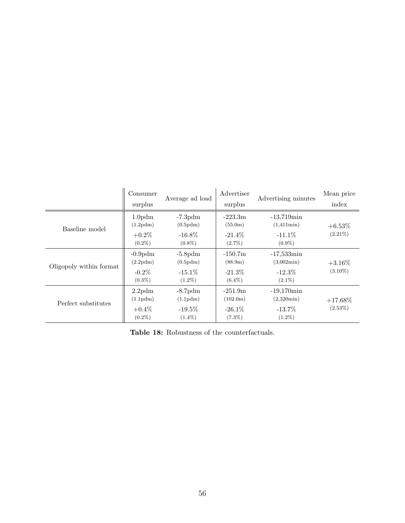<span id="page-55-0"></span>

|                         | Consumer<br>surplus                          | Average ad load                     | Advertiser<br>surplus  | Advertising minutes         | Mean price<br>index |
|-------------------------|----------------------------------------------|-------------------------------------|------------------------|-----------------------------|---------------------|
| Baseline model          | 1.0 <sub>p</sub> dm<br>(1.2 <sub>pdm</sub> ) | $-7.3$ pdm<br>$(0.5 \text{pdm})$    | $-223.3m$<br>(55.0m)   | $-13,719$ min<br>(1,411min) | $+6.53\%$           |
|                         | $+0.2\%$<br>$(0.2\%)$                        | $-16.8\%$<br>$(0.8\%)$              | $-21.4\%$<br>$(2.7\%)$ | $-11.1\%$<br>$(0.9\%)$      | $(2.21\%)$          |
| Oligopoly within format | $-0.9pdm$<br>(2.2 <sub>pdm</sub> )           | $-5.8$ pdm<br>$(0.5 \text{pdm})$    | $-150.7m$<br>(88.9m)   | $-17,533$ min<br>(3,002min) | $+3.16\%$           |
|                         | $-0.2\%$<br>$(0.3\%)$                        | $-15.1\%$<br>$(1.2\%)$              | $-21.3\%$<br>$(6.4\%)$ | $-12.3\%$<br>$(2.1\%)$      | $(3.10\%)$          |
| Perfect substitutes     | 2.2 <sub>p</sub> dm<br>(1.1 <sub>pdm</sub> ) | $-8.7$ pdm<br>(1.1 <sub>pdm</sub> ) | $-251.9m$<br>(102.0m)  | $-19,170$ min<br>(2,320min) | $+17.68\%$          |
|                         | $+0.4\%$<br>$(0.2\%)$                        | $-19.5\%$<br>$(1.4\%)$              | $-26.1\%$<br>$(7.3\%)$ | $-13.7\%$<br>$(1.2\%)$      | $(2.53\%)$          |

Table 18: Robustness of the counterfactuals.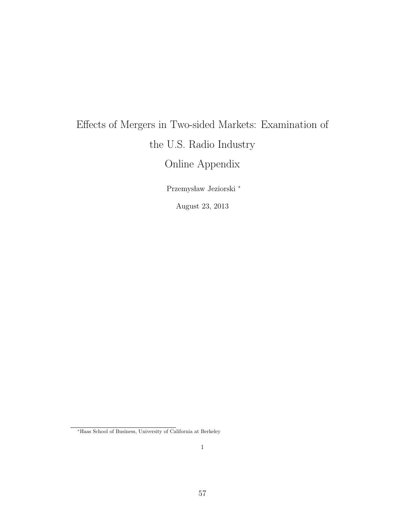## Effects of Mergers in Two-sided Markets: Examination of the U.S. Radio Industry Online Appendix

Przemysław Jeziorski <sup>\*</sup>

August 23, 2013

57

<sup>∗</sup>Haas School of Business, University of California at Berkeley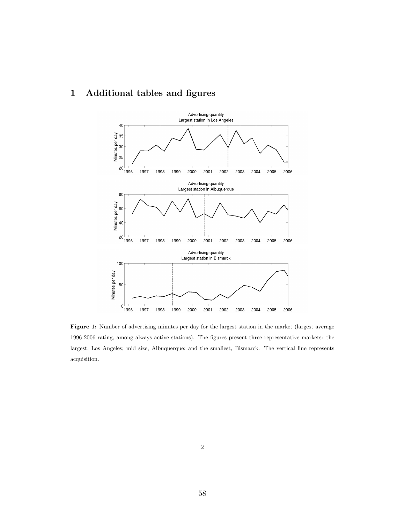

## 1 Additional tables and figures

Figure 1: Number of advertising minutes per day for the largest station in the market (largest average 1996-2006 rating, among always active stations). The figures present three representative markets: the largest, Los Angeles; mid size, Albuquerque; and the smallest, Bismarck. The vertical line represents acquisition.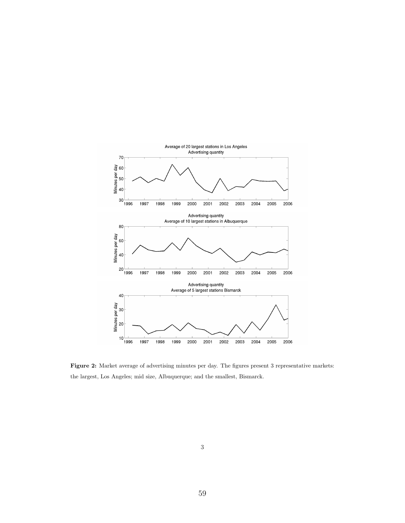

Figure 2: Market average of advertising minutes per day. The figures present 3 representative markets: the largest, Los Angeles; mid size, Albuquerque; and the smallest, Bismarck.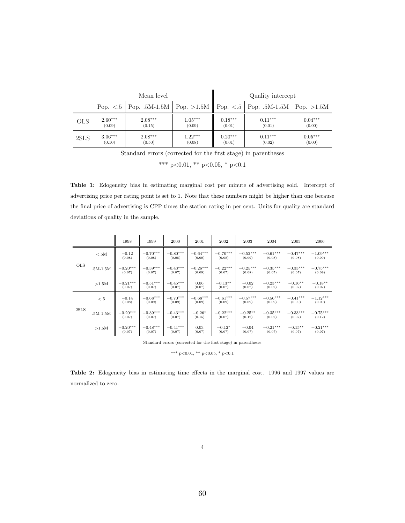|            |           | Mean level                                                                                          |           | Quality intercept |           |           |  |
|------------|-----------|-----------------------------------------------------------------------------------------------------|-----------|-------------------|-----------|-----------|--|
|            |           | Pop. $\lt 0.5$   Pop. $0.5M-1.5M$   Pop. $>1.5M$   Pop. $\lt 0.5$   Pop. $0.5M-1.5M$   Pop. $>1.5M$ |           |                   |           |           |  |
| <b>OLS</b> | $2.60***$ | $2.08***$                                                                                           | $1.05***$ | $0.18***$         | $0.11***$ | $0.04***$ |  |
|            | (0.09)    | (0.15)                                                                                              | (0.09)    | (0.01)            | (0.01)    | (0.00)    |  |
| 2SLS       | $3.06***$ | $2.08***$                                                                                           | $1.22***$ | $0.20***$         | $0.11***$ | $0.05***$ |  |
|            | (0.10)    | (0.50)                                                                                              | (0.08)    | (0.01)            | (0.02)    | (0.00)    |  |

Standard errors (corrected for the first stage) in parentheses

\*\*\* p<0.01, \*\* p<0.05, \* p<0.1

Table 1: Edogeneity bias in estimating marginal cost per minute of advertising sold. Intercept of advertising price per rating point is set to 1. Note that these numbers might be higher than one because the final price of advertising is CPP times the station rating in per cent. Units for quality are standard deviations of quality in the sample.

|            |            | 1998                 | 1999                 | 2000                 | 2001                 | 2002                 | 2003                 | 2004                 | 2005                 | 2006                 |
|------------|------------|----------------------|----------------------|----------------------|----------------------|----------------------|----------------------|----------------------|----------------------|----------------------|
|            | $-.5M$     | $-0.12$<br>(0.08)    | $-0.70***$<br>(0.08) | $-0.80***$<br>(0.08) | $-0.64***$<br>(0.09) | $-0.70***$<br>(0.08) | $-0.52***$<br>(0.09) | $-0.61***$<br>(0.08) | $-0.47***$<br>(0.08) | $-1.09***$<br>(0.09) |
| <b>OLS</b> | $.5M-1.5M$ | $-0.20***$<br>(0.07) | $-0.39***$<br>(0.07) | $-0.43***$<br>(0.07) | $-0.26***$<br>(0.09) | $-0.22***$<br>(0.07) | $-0.25***$<br>(0.08) | $-0.35***$<br>(0.07) | $-0.33***$<br>(0.07) | $-0.75***$<br>(0.09) |
|            | >1.5M      | $-0.21***$<br>(0.07) | $-0.51***$<br>(0.07) | $-0.45***$<br>(0.07) | 0.06<br>(0.07)       | $-0.13**$<br>(0.07)  | $-0.02$<br>(0.07)    | $-0.23***$<br>(0.07) | $-0.16**$<br>(0.07)  | $-0.18**$<br>(0.07)  |
|            | $< .5$     | $-0.14$<br>(0.08)    | $-0.68***$<br>(0.09) | $-0.70***$<br>(0.09) | $-0.68***$<br>(0.09) | $-0.61***$<br>(0.09) | $-0.57***$<br>(0.09) | $-0.56***$<br>(0.09) | $-0.41***$<br>(0.09) | $-1.12***$<br>(0.09) |
| 2SLS       | $.5M-1.5M$ | $-0.20***$<br>(0.07) | $-0.39***$<br>(0.07) | $-0.43***$<br>(0.07) | $-0.26*$<br>(0.15)   | $-0.22***$<br>(0.07) | $-0.25***$<br>(0.12) | $-0.35***$<br>(0.07) | $-0.33***$<br>(0.07) | $-0.75***$<br>(0.12) |
|            | >1.5M      | $-0.20***$<br>(0.07) | $-0.48***$<br>(0.07) | $-0.41***$<br>(0.07) | 0.03<br>(0.07)       | $-0.12*$<br>(0.07)   | $-0.04$<br>(0.07)    | $-0.21***$<br>(0.07) | $-0.15***$<br>(0.07) | $-0.21***$<br>(0.07) |

Standard errors (corrected for the first stage) in parentheses

\*\*\* p<0.01, \*\* p<0.05, \* p<0.1

Table 2: Edogeneity bias in estimating time effects in the marginal cost. 1996 and 1997 values are normalized to zero.